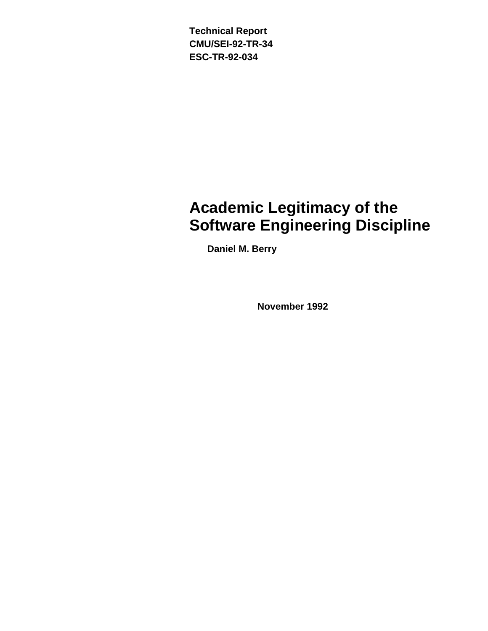**ESC-TR-92-034 Technical Report CMU/SEI-92-TR-34**

# **Software Engineering Discipline Academic Legitimacy of the**

**Daniel M. Berry**

**November 1992**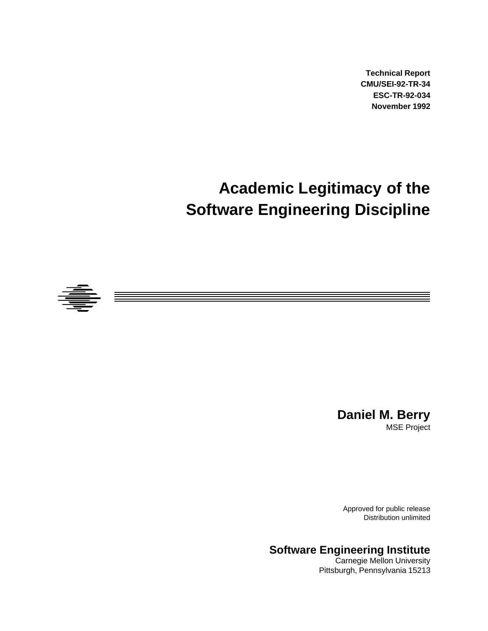**Technical Report CMU/SEI-92-TR-34 ESC-TR-92-034 November 1992**

# **Academic Legitimacy of the Software Engineering Discipline**



**Daniel M. Berry** MSE Project

Approved for public release Distribution unlimited

**Software Engineering Institute** Carnegie Mellon University

Pittsburgh, Pennsylvania 15213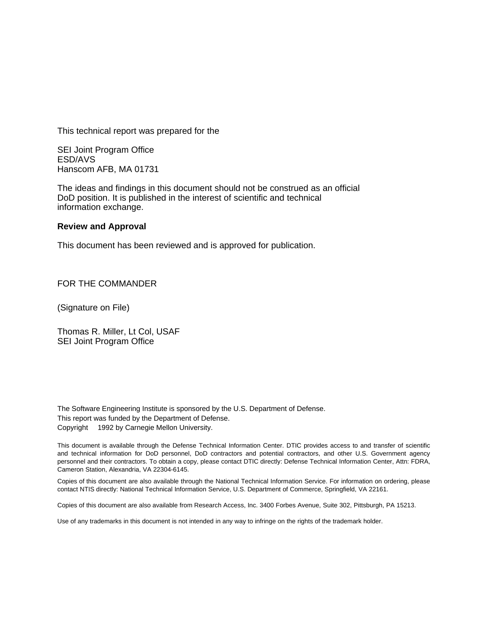This technical report was prepared for the

SEI Joint Program Office ESD/AVS Hanscom AFB, MA 01731

The ideas and findings in this document should not be construed as an official DoD position. It is published in the interest of scientific and technical information exchange.

#### **Review and Approval**

This document has been reviewed and is approved for publication.

FOR THE COMMANDER

(Signature on File)

Thomas R. Miller, Lt Col, USAF SEI Joint Program Office

The Software Engineering Institute is sponsored by the U.S. Department of Defense. This report was funded by the Department of Defense. Copyright © 1992 by Carnegie Mellon University.

This document is available through the Defense Technical Information Center. DTIC provides access to and transfer of scientific and technical information for DoD personnel, DoD contractors and potential contractors, and other U.S. Government agency personnel and their contractors. To obtain a copy, please contact DTIC directly: Defense Technical Information Center, Attn: FDRA, Cameron Station, Alexandria, VA 22304-6145.

Copies of this document are also available through the National Technical Information Service. For information on ordering, please contact NTIS directly: National Technical Information Service, U.S. Department of Commerce, Springfield, VA 22161.

Copies of this document are also available from Research Access, Inc. 3400 Forbes Avenue, Suite 302, Pittsburgh, PA 15213.

Use of any trademarks in this document is not intended in any way to infringe on the rights of the trademark holder.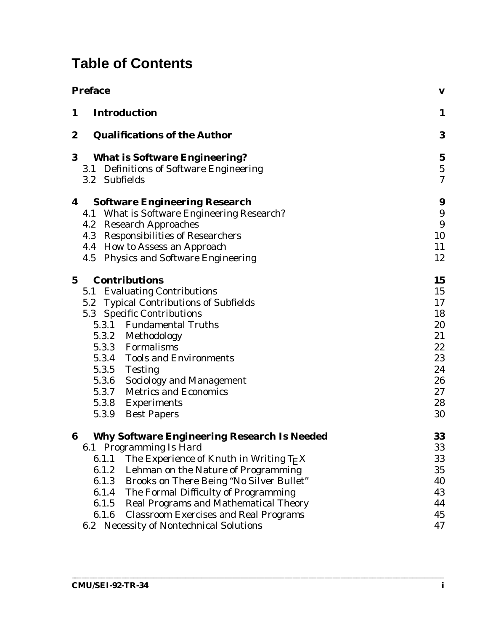# **Table of Contents**

|                  | <b>Preface</b>                                           |                |
|------------------|----------------------------------------------------------|----------------|
| 1                | <b>Introduction</b>                                      | 1              |
| $\boldsymbol{2}$ | <b>Qualifications of the Author</b>                      | 3              |
| 3                | <b>What is Software Engineering?</b>                     | $\mathbf 5$    |
|                  | 3.1 Definitions of Software Engineering                  | $\overline{5}$ |
|                  | 3.2 Subfields                                            | $\overline{7}$ |
| 4                | <b>Software Engineering Research</b>                     | 9              |
|                  | 4.1 What is Software Engineering Research?               | 9              |
|                  | <b>4.2 Research Approaches</b>                           | 9              |
|                  | 4.3 Responsibilities of Researchers                      | 10             |
|                  | 4.4 How to Assess an Approach                            | 11             |
|                  | 4.5 Physics and Software Engineering                     | 12             |
| $\mathbf 5$      | <b>Contributions</b>                                     | 15             |
|                  | 5.1 Evaluating Contributions                             | 15             |
|                  | 5.2 Typical Contributions of Subfields                   | 17             |
|                  | 5.3 Specific Contributions                               | 18             |
|                  | 5.3.1 Fundamental Truths                                 | 20             |
|                  | 5.3.2 Methodology                                        | 21             |
|                  | 5.3.3 Formalisms                                         | 22             |
|                  | 5.3.4 Tools and Environments                             | 23             |
|                  | 5.3.5 Testing                                            | 24             |
|                  | 5.3.6 Sociology and Management                           | 26             |
|                  | 5.3.7 Metrics and Economics                              | 27             |
|                  | 5.3.8<br><b>Experiments</b>                              | 28             |
|                  | 5.3.9<br><b>Best Papers</b>                              | 30             |
| 6                | <b>Why Software Engineering Research Is Needed</b>       | 33             |
|                  | 6.1 Programming Is Hard                                  | 33             |
|                  | 6.1.1<br>The Experience of Knuth in Writing $TEX$        | 33             |
|                  | Lehman on the Nature of Programming<br>6.1.2             | 35             |
|                  | 6.1.3<br><b>Brooks on There Being "No Silver Bullet"</b> | 40             |
|                  | 6.1.4<br>The Formal Difficulty of Programming            | 43             |
|                  | 6.1.5<br><b>Real Programs and Mathematical Theory</b>    | 44             |
|                  | 6.1.6<br><b>Classroom Exercises and Real Programs</b>    | 45             |
|                  | 6.2 Necessity of Nontechnical Solutions                  | 47             |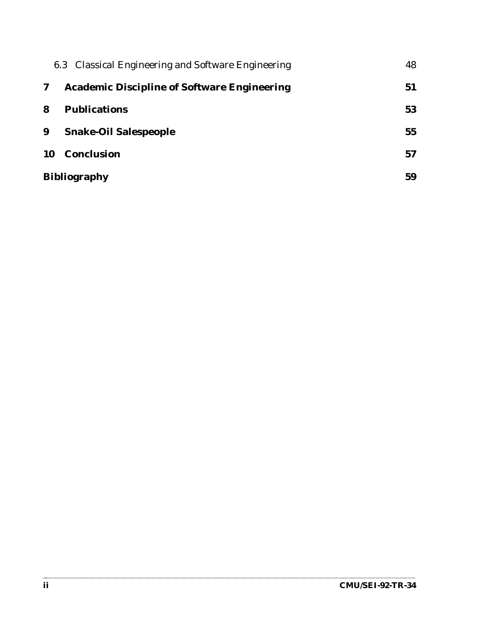|                     | 6.3 Classical Engineering and Software Engineering | 48 |
|---------------------|----------------------------------------------------|----|
| 7                   | <b>Academic Discipline of Software Engineering</b> | 51 |
| 8                   | <b>Publications</b>                                | 53 |
| 9                   | <b>Snake-Oil Salespeople</b>                       | 55 |
| <b>10</b>           | <b>Conclusion</b>                                  | 57 |
| <b>Bibliography</b> |                                                    | 59 |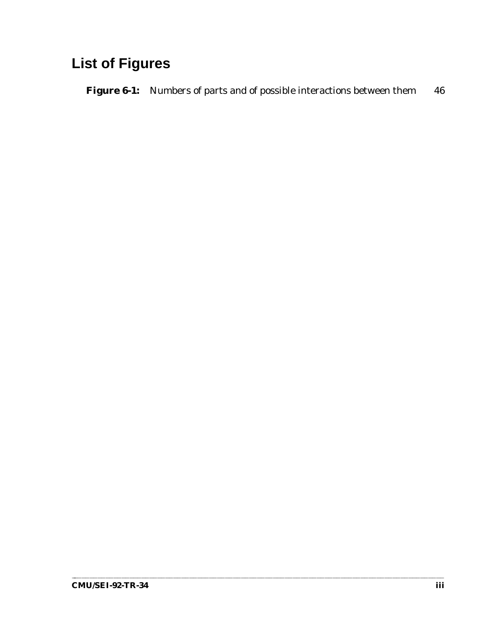# **List of Figures**

**Figure 6-1:** Numbers of parts and of possible interactions between them 46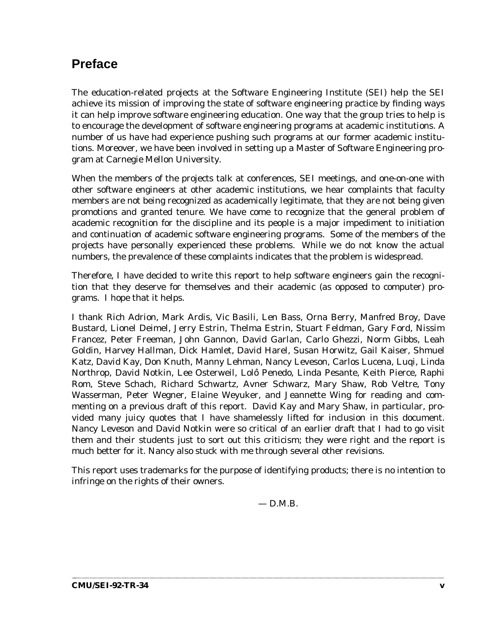# **Preface**

The education-related projects at the Software Engineering Institute (SEI) help the SEI achieve its mission of improving the state of software engineering practice by finding ways it can help improve software engineering education. One way that the group tries to help is to encourage the development of software engineering programs at academic institutions. A number of us have had experience pushing such programs at our former academic institutions. Moreover, we have been involved in setting up a Master of Software Engineering program at Carnegie Mellon University.

When the members of the projects talk at conferences, SEI meetings, and one-on-one with other software engineers at other academic institutions, we hear complaints that faculty members are not being recognized as academically legitimate, that they are not being given promotions and granted tenure. We have come to recognize that the general problem of academic recognition for the discipline and its people is a major impediment to initiation and continuation of academic software engineering programs. Some of the members of the projects have personally experienced these problems. While we do not know the actual numbers, the prevalence of these complaints indicates that the problem is widespread.

Therefore, I have decided to write this report to help software engineers gain the recognition that they deserve for themselves and their academic (as opposed to computer) programs. I hope that it helps.

I thank Rich Adrion, Mark Ardis, Vic Basili, Len Bass, Orna Berry, Manfred Broy, Dave Bustard, Lionel Deimel, Jerry Estrin, Thelma Estrin, Stuart Feldman, Gary Ford, Nissim Francez, Peter Freeman, John Gannon, David Garlan, Carlo Ghezzi, Norm Gibbs, Leah Goldin, Harvey Hallman, Dick Hamlet, David Harel, Susan Horwitz, Gail Kaiser, Shmuel Katz, David Kay, Don Knuth, Manny Lehman, Nancy Leveson, Carlos Lucena, Luqi, Linda Northrop, David Notkin, Lee Osterweil, Loloˆ Penedo, Linda Pesante, Keith Pierce, Raphi Rom, Steve Schach, Richard Schwartz, Avner Schwarz, Mary Shaw, Rob Veltre, Tony Wasserman, Peter Wegner, Elaine Weyuker, and Jeannette Wing for reading and commenting on a previous draft of this report. David Kay and Mary Shaw, in particular, provided many juicy quotes that I have shamelessly lifted for inclusion in this document. Nancy Leveson and David Notkin were so critical of an earlier draft that I had to go visit them and their students just to sort out this criticism; they were right and the report is much better for it. Nancy also stuck with me through several other revisions.

This report uses trademarks for the purpose of identifying products; there is no intention to infringe on the rights of their owners.

hhhhhhhhhhhhhhhhhhhhhhhhhhhhhhhhhhhhhhhhhhhhhhhhhhhhhhhhhhhhhhhhhhhhhhhhhhhhhhhhhhhhhhhhhhhhhh

 $-$  D.M.B.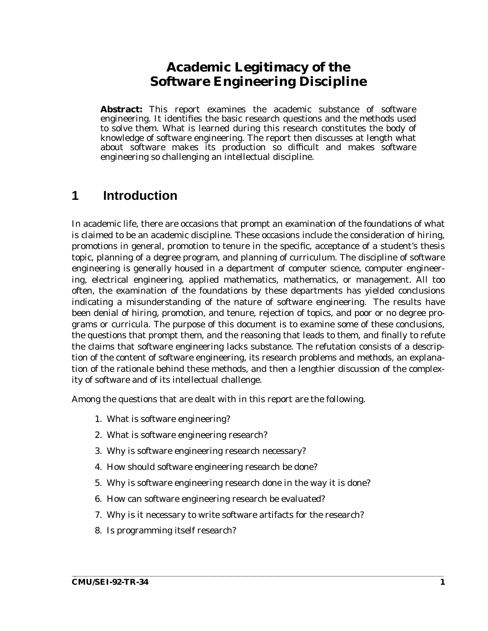## **Academic Legitimacy of the Software Engineering Discipline**

**Abstract:** This report examines the academic substance of software engineering. It identifies the basic research questions and the methods used to solve them. What is learned during this research constitutes the body of knowledge of software engineering. The report then discusses at length what about software makes its production so difficult and makes software engineering so challenging an intellectual discipline.

## **1 Introduction**

In academic life, there are occasions that prompt an examination of the foundations of what is claimed to be an academic discipline. These occasions include the consideration of hiring, promotions in general, promotion to tenure in the specific, acceptance of a student's thesis topic, planning of a degree program, and planning of curriculum. The discipline of software engineering is generally housed in a department of computer science, computer engineering, electrical engineering, applied mathematics, mathematics, or management. All too often, the examination of the foundations by these departments has yielded conclusions indicating a misunderstanding of the nature of software engineering. The results have been denial of hiring, promotion, and tenure, rejection of topics, and poor or no degree programs or curricula. The purpose of this document is to examine some of these conclusions, the questions that prompt them, and the reasoning that leads to them, and finally to refute the claims that software engineering lacks substance. The refutation consists of a description of the content of software engineering, its research problems and methods, an explanation of the rationale behind these methods, and then a lengthier discussion of the complexity of software and of its intellectual challenge.

Among the questions that are dealt with in this report are the following.

- 1. What is software engineering?
- 2. What is software engineering research?
- 3. Why is software engineering research necessary?
- 4. How should software engineering research be done?
- 5. Why is software engineering research done in the way it is done?
- 6. How can software engineering research be evaluated?
- 7. Why is it necessary to write software artifacts for the research?
- 8. Is programming itself research?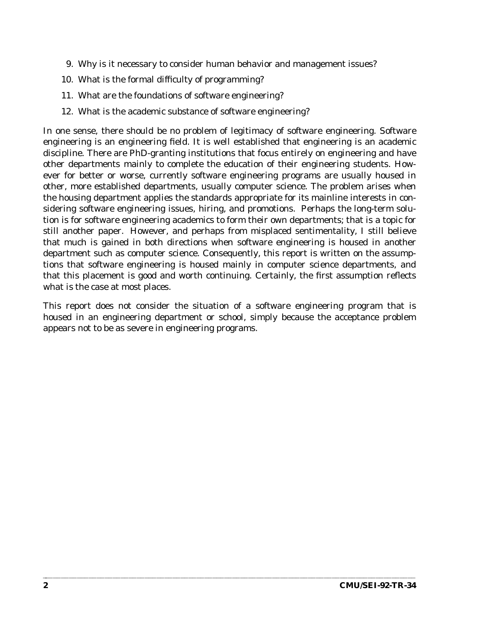- 9. Why is it necessary to consider human behavior and management issues?
- 10. What is the formal difficulty of programming?
- 11. What are the foundations of software engineering?
- 12. What is the academic substance of software engineering?

In one sense, there should be no problem of legitimacy of software engineering. Software engineering is an engineering field. It is well established that engineering is an academic discipline. There are PhD-granting institutions that focus entirely on engineering and have other departments mainly to complete the education of their engineering students. However for better or worse, currently software engineering programs are usually housed in other, more established departments, usually computer science. The problem arises when the housing department applies the standards appropriate for its mainline interests in considering software engineering issues, hiring, and promotions. Perhaps the long-term solution is for software engineering academics to form their own departments; that is a topic for still another paper. However, and perhaps from misplaced sentimentality, I still believe that much is gained in both directions when software engineering is housed in another department such as computer science. Consequently, this report is written on the assumptions that software engineering is housed mainly in computer science departments, and that this placement is good and worth continuing. Certainly, the first assumption reflects what *is* the case at most places.

This report does not consider the situation of a software engineering program that is housed in an engineering department or school, simply because the acceptance problem appears not to be as severe in engineering programs.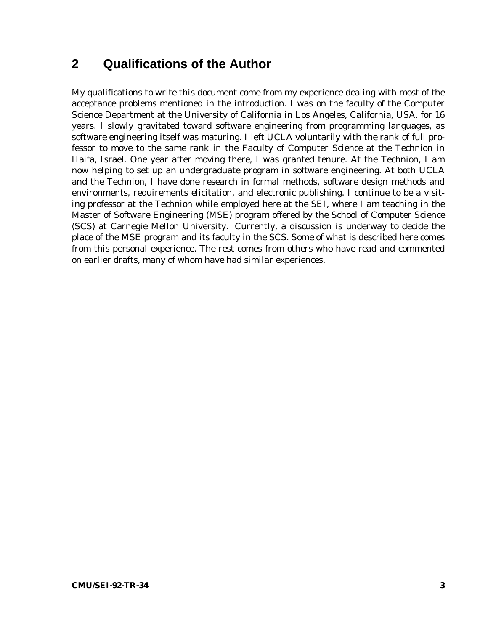## **2 Qualifications of the Author**

My qualifications to write this document come from my experience dealing with most of the acceptance problems mentioned in the introduction. I was on the faculty of the Computer Science Department at the University of California in Los Angeles, California, USA. for 16 years. I slowly gravitated toward software engineering from programming languages, as software engineering itself was maturing. I left UCLA voluntarily with the rank of full professor to move to the same rank in the Faculty of Computer Science at the Technion in Haifa, Israel. One year after moving there, I was granted tenure. At the Technion, I am now helping to set up an undergraduate program in software engineering. At both UCLA and the Technion, I have done research in formal methods, software design methods and environments, requirements elicitation, and electronic publishing. I continue to be a visiting professor at the Technion while employed here at the SEI, where I am teaching in the Master of Software Engineering (MSE) program offered by the School of Computer Science (SCS) at Carnegie Mellon University. Currently, a discussion is underway to decide the place of the MSE program and its faculty in the SCS. Some of what is described here comes from this personal experience. The rest comes from others who have read and commented on earlier drafts, many of whom have had similar experiences.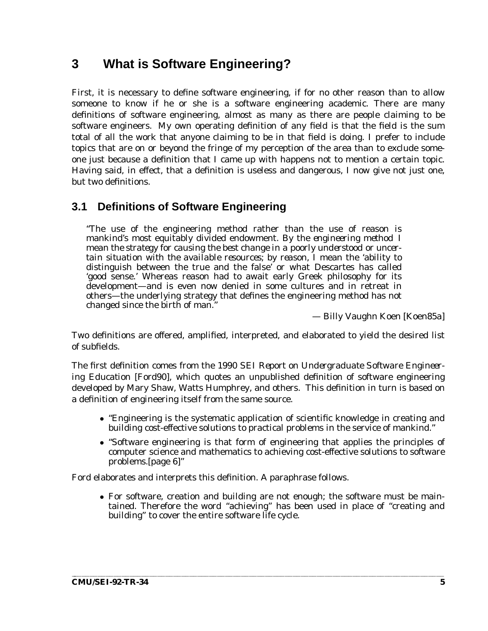## **3 What is Software Engineering?**

First, it is necessary to define software engineering, if for no other reason than to allow someone to know if he or she is a software engineering academic. There are many definitions of software engineering, almost as many as there are people claiming to be software engineers. My own operating definition of any field is that the field is the sum total of all the work that anyone claiming to be in that field is doing. I prefer to include topics that are on or beyond the fringe of my perception of the area than to exclude someone just because a definition that I came up with happens not to mention a certain topic. Having said, in effect, that a definition is useless and dangerous, I now give not just one, but two definitions.

### **3.1 Definitions of Software Engineering**

"The use of the engineering method rather than the use of reason is mankind's most equitably divided endowment. By the *engineering method* I mean *the strategy for causing the best change in a poorly understood or uncertain situation with the available resources*; by *reason*, I mean the 'ability to distinguish between the true and the false' or what Descartes has called 'good sense.' Whereas reason had to await early Greek philosophy for its development—and is even now denied in some cultures and in retreat in others—the underlying strategy that defines the engineering method has not changed since the birth of man."

— Billy Vaughn Koen [Koen85a]

Two definitions are offered, amplified, interpreted, and elaborated to yield the desired list of subfields.

The first definition comes from the *1990 SEI Report on Undergraduate Software Engineering Education* [Ford90], which quotes an unpublished definition of software engineering developed by Mary Shaw, Watts Humphrey, and others. This definition in turn is based on a definition of engineering itself from the same source.

- "Engineering is the systematic application of scientific knowledge in creating and building cost-effective solutions to practical problems in the service of mankind."
- "Software engineering is that form of engineering that applies the principles of computer science and mathematics to achieving cost-effective solutions to software problems.[page 6]"

Ford elaborates and interprets this definition. A paraphrase follows.

g For software, creation and building are not enough; the software must be maintained. Therefore the word "achieving" has been used in place of "creating and building" to cover the entire software life cycle.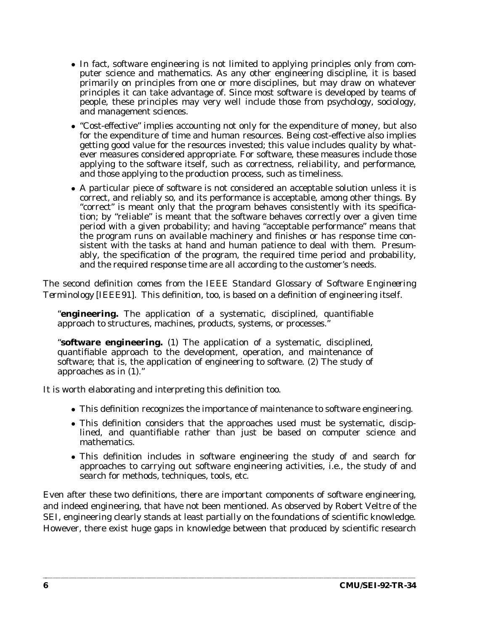- g In fact, software engineering is not limited to applying principles only from computer science and mathematics. As any other engineering discipline, it is based primarily on principles from one or more disciplines, but may draw on whatever principles it can take advantage of. Since most software is developed by teams of people, these principles may very well include those from psychology, sociology, and management sciences.
- "Cost-effective" implies accounting not only for the expenditure of money, but also for the expenditure of time and human resources. Being cost-effective also implies getting good value for the resources invested; this value includes quality by whatever measures considered appropriate. For software, these measures include those applying to the software itself, such as correctness, reliability, and performance, and those applying to the production process, such as timeliness.
- A particular piece of software is not considered an acceptable solution unless it is correct, and reliably so, and its performance is acceptable, among other things. By "correct" is meant only that the program behaves consistently with its specification; by "reliable" is meant that the software behaves correctly over a given time period with a given probability; and having "acceptable performance" means that the program runs on available machinery and finishes or has response time consistent with the tasks at hand and human patience to deal with them. Presumably, the specification of the program, the required time period and probability, and the required response time are all according to the customer's needs.

The second definition comes from the *IEEE Standard Glossary of Software Engineering Terminology* [IEEE91]. This definition, too, is based on a definition of engineering itself.

"**engineering.** The application of a systematic, disciplined, quantifiable approach to structures, machines, products, systems, or processes."

"**software engineering.** (1) The application of a systematic, disciplined, quantifiable approach to the development, operation, and maintenance of software; that is, the application of engineering to software. (2) The study of approaches as in (1)."

It is worth elaborating and interpreting this definition too.

- This definition recognizes the importance of maintenance to software engineering.
- This definition considers that the approaches used must be systematic, disciplined, and quantifiable rather than just be based on computer science and mathematics.
- This definition includes in software engineering the study of and search for approaches to carrying out software engineering activities, i.e., the study of and search for methods, techniques, tools, etc.

Even after these two definitions, there are important components of software engineering, and indeed engineering, that have not been mentioned. As observed by Robert Veltre of the SEI, engineering clearly stands at least partially on the foundations of scientific knowledge. However, there exist huge gaps in knowledge between that produced by scientific research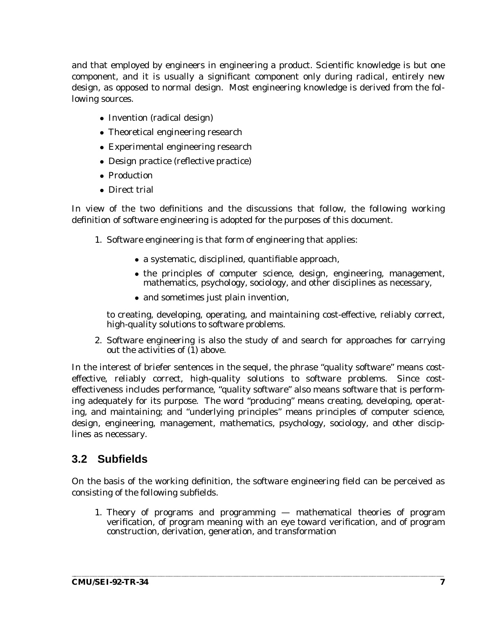and that employed by engineers in engineering a product. Scientific knowledge is but one component, and it is usually a significant component only during *radical*, entirely new design, as opposed to *normal* design. Most engineering knowledge is derived from the following sources.

- Invention (radical design)
- $\bullet$  Theoretical engineering research
- Experimental engineering research
- Design practice (reflective practice)
- Production
- Direct trial

In view of the two definitions and the discussions that follow, the following working definition of software engineering is adopted for the purposes of this document.

- 1. Software engineering is that form of engineering that applies:
	- $\bullet$  a systematic, disciplined, quantifiable approach,
	- the principles of computer science, design, engineering, management, mathematics, psychology, sociology, and other disciplines as necessary,
	- and sometimes just plain invention,

to creating, developing, operating, and maintaining cost-effective, reliably correct, high-quality solutions to software problems.

2. Software engineering is also the study of and search for approaches for carrying out the activities of  $(1)$  above.

In the interest of briefer sentences in the sequel, the phrase "quality software" means costeffective, reliably correct, high-quality solutions to software problems. Since costeffectiveness includes performance, "quality software" also means software that is performing adequately for its purpose. The word "producing" means creating, developing, operating, and maintaining; and "underlying principles" means principles of computer science, design, engineering, management, mathematics, psychology, sociology, and other disciplines as necessary.

### **3.2 Subfields**

On the basis of the working definition, the software engineering field can be perceived as consisting of the following subfields.

1. Theory of programs and programming — mathematical theories of program verification, of program meaning with an eye toward verification, and of program construction, derivation, generation, and transformation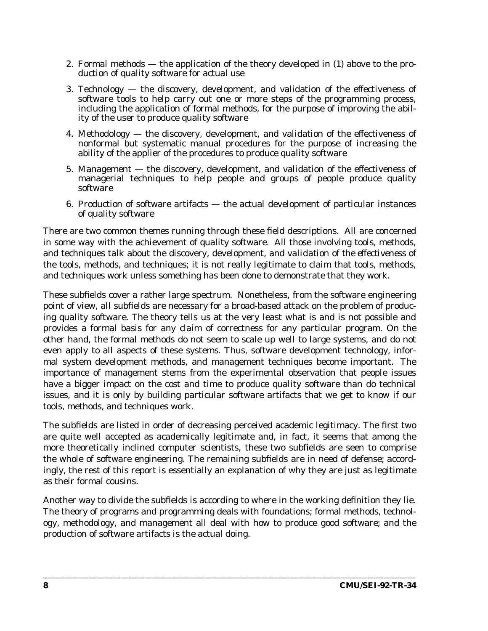- 2. Formal methods the application of the theory developed in (1) above to the production of quality software for actual use
- 3. Technology the discovery, development, and validation of the effectiveness of software tools to help carry out one or more steps of the programming process, including the application of formal methods, for the purpose of improving the ability of the user to produce quality software
- 4. Methodology the discovery, development, and validation of the effectiveness of nonformal but systematic manual procedures for the purpose of increasing the ability of the applier of the procedures to produce quality software
- 5. Management the discovery, development, and validation of the effectiveness of managerial techniques to help people and groups of people produce quality software
- 6. Production of software artifacts the actual development of particular instances of quality software

There are two common themes running through these field descriptions. All are concerned in some way with the achievement of quality software. All those involving tools, methods, and techniques talk about the discovery, development, and *validation of the effectiveness* of the tools, methods, and techniques; it is not really legitimate to claim that tools, methods, and techniques work unless something has been done to demonstrate that they work.

These subfields cover a rather large spectrum. Nonetheless, from the software engineering point of view, all subfields are necessary for a broad-based attack on the problem of producing quality software. The theory tells us at the very least what is and is not possible and provides a formal basis for any claim of correctness for any particular program. On the other hand, the formal methods do not seem to scale up well to large systems, and do not even apply to all aspects of these systems. Thus, software development technology, informal system development methods, and management techniques become important. The importance of management stems from the experimental observation that people issues have a bigger impact on the cost and time to produce quality software than do technical issues, and it is only by building particular software artifacts that we get to know if our tools, methods, and techniques work.

The subfields are listed in order of decreasing perceived academic legitimacy. The first two are quite well accepted as academically legitimate and, in fact, it seems that among the more theoretically inclined computer scientists, these two subfields are seen to comprise the whole of software engineering. The remaining subfields are in need of defense; accordingly, the rest of this report is essentially an explanation of why they are just as legitimate as their formal cousins.

Another way to divide the subfields is according to where in the working definition they lie. The theory of programs and programming deals with foundations; formal methods, technology, methodology, and management all deal with *how* to produce good software; and the production of software artifacts is the actual doing.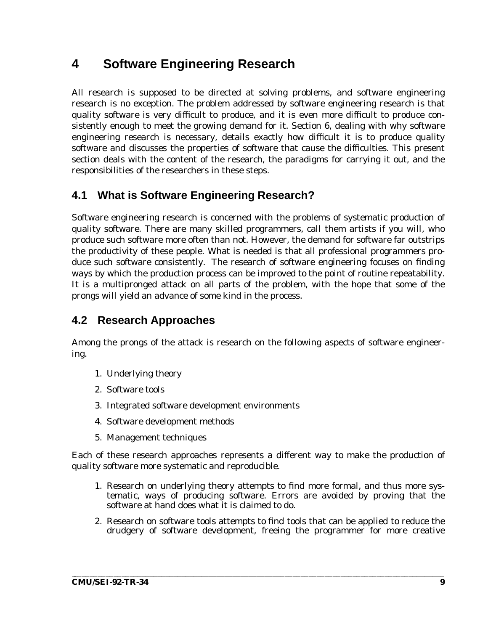## **4 Software Engineering Research**

All research is supposed to be directed at solving problems, and software engineering research is no exception. The problem addressed by software engineering research is that quality software is very difficult to produce, and it is even more difficult to produce consistently enough to meet the growing demand for it. Section 6, dealing with why software engineering research is necessary, details exactly how difficult it is to produce quality software and discusses the properties of software that cause the difficulties. This present section deals with the content of the research, the paradigms for carrying it out, and the responsibilities of the researchers in these steps.

### **4.1 What is Software Engineering Research?**

Software engineering research is concerned with the problems of systematic production of quality software. There are many skilled programmers, call them artists if you will, who produce such software more often than not. However, the demand for software far outstrips the productivity of these people. What is needed is that all professional programmers produce such software consistently. The research of software engineering focuses on finding ways by which the production process can be improved to the point of routine repeatability. It is a multipronged attack on all parts of the problem, with the hope that some of the prongs will yield an advance of some kind in the process.

## **4.2 Research Approaches**

Among the prongs of the attack is research on the following aspects of software engineering.

- 1. Underlying theory
- 2. Software tools
- 3. Integrated software development environments
- 4. Software development methods
- 5. Management techniques

Each of these research approaches represents a different way to make the production of quality software more systematic and reproducible.

- 1. Research on underlying theory attempts to find more formal, and thus more systematic, ways of producing software. Errors are avoided by proving that the software at hand does what it is claimed to do.
- 2. Research on software tools attempts to find tools that can be applied to reduce the drudgery of software development, freeing the programmer for more creative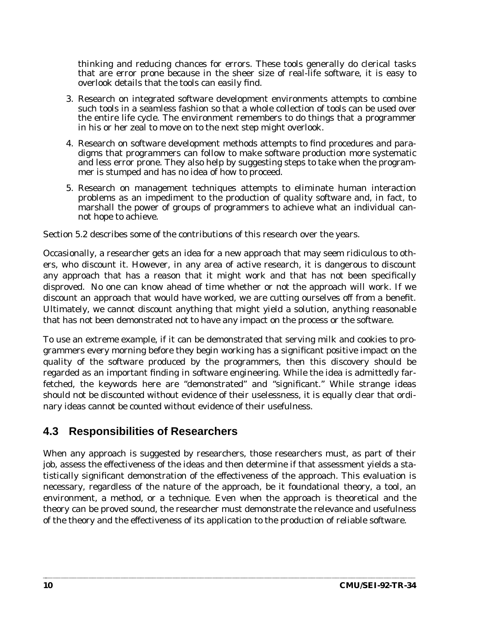thinking and reducing chances for errors. These tools generally do clerical tasks that are error prone because in the sheer size of real-life software, it is easy to overlook details that the tools can easily find.

- 3. Research on integrated software development environments attempts to combine such tools in a seamless fashion so that a whole collection of tools can be used over the entire life cycle. The environment remembers to do things that a programmer in his or her zeal to move on to the next step might overlook.
- 4. Research on software development methods attempts to find procedures and paradigms that programmers can follow to make software production more systematic and less error prone. They also help by suggesting steps to take when the programmer is stumped and has no idea of how to proceed.
- 5. Research on management techniques attempts to eliminate human interaction problems as an impediment to the production of quality software and, in fact, to marshall the power of groups of programmers to achieve what an individual cannot hope to achieve.

Section 5.2 describes some of the contributions of this research over the years.

Occasionally, a researcher gets an idea for a new approach that may seem ridiculous to others, who discount it. However, in any area of active research, it is dangerous to discount any approach that has a reason that it might work and that has not been specifically disproved. No one can know ahead of time whether or not the approach will work. If we discount an approach that would have worked, we are cutting ourselves off from a benefit. Ultimately, we cannot discount anything that might yield a solution, anything reasonable that has not been demonstrated *not* to have *any* impact on the process or the software.

To use an extreme example, if it can be demonstrated that serving milk and cookies to programmers every morning before they begin working has a significant positive impact on the quality of the software produced by the programmers, then this discovery should be regarded as an important finding in software engineering. While the idea is admittedly farfetched, the keywords here are "demonstrated" and "significant." While strange ideas should not be discounted without evidence of their uselessness, it is equally clear that ordinary ideas cannot be counted without evidence of their usefulness.

### **4.3 Responsibilities of Researchers**

When any approach is suggested by researchers, those researchers must, as part of their job, assess the effectiveness of the ideas and then determine if that assessment yields a statistically significant demonstration of the effectiveness of the approach. This evaluation is necessary, regardless of the nature of the approach, be it foundational theory, a tool, an environment, a method, or a technique. Even when the approach is theoretical and the theory can be proved sound, the researcher must demonstrate the relevance and usefulness of the theory and the effectiveness of its application to the production of reliable software.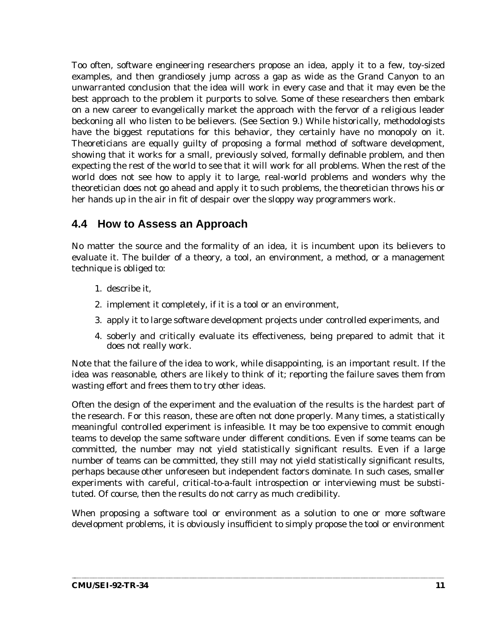Too often, software engineering researchers propose an idea, apply it to a few, toy-sized examples, and then grandiosely jump across a gap as wide as the Grand Canyon to an unwarranted conclusion that the idea will work in every case and that it may even be the best approach to the problem it purports to solve. Some of these researchers then embark on a new career to evangelically market the approach with the fervor of a religious leader beckoning all who listen to be believers. (See Section 9.) While historically, methodologists have the biggest reputations for this behavior, they certainly have no monopoly on it. Theoreticians are equally guilty of proposing a formal method of software development, showing that it works for a small, previously solved, formally definable problem, and then expecting the rest of the world to see that it will work for all problems. When the rest of the world does not see how to apply it to large, real-world problems and wonders why the theoretician does not go ahead and apply it to such problems, the theoretician throws his or her hands up in the air in fit of despair over the sloppy way programmers work.

#### **4.4 How to Assess an Approach**

No matter the source and the formality of an idea, it is incumbent upon its believers to evaluate it. The builder of a theory, a tool, an environment, a method, or a management technique is obliged to:

- 1. describe it,
- 2. implement it completely, if it is a tool or an environment,
- 3. apply it to large software development projects under controlled experiments, and
- 4. soberly and critically evaluate its effectiveness, being prepared to admit that it does not really work.

Note that the failure of the idea to work, while disappointing, is an important result. If the idea was reasonable, others are likely to think of it; reporting the failure saves them from wasting effort and frees them to try other ideas.

Often the design of the experiment and the evaluation of the results is the hardest part of the research. For this reason, these are often not done properly. Many times, a statistically meaningful controlled experiment is infeasible. It may be too expensive to commit enough teams to develop the same software under different conditions. Even if some teams can be committed, the number may not yield statistically significant results. Even if a large number of teams can be committed, they still may not yield statistically significant results, perhaps because other unforeseen but independent factors dominate. In such cases, smaller experiments with careful, critical-to-a-fault introspection or interviewing must be substituted. Of course, then the results do not carry as much credibility.

When proposing a software tool or environment as a solution to one or more software development problems, it is obviously insufficient to simply propose the tool or environment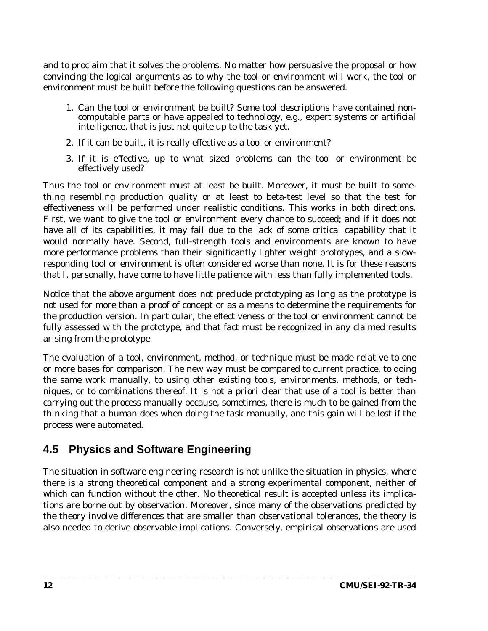and to proclaim that it solves the problems. No matter how persuasive the proposal or how convincing the logical arguments as to why the tool or environment will work, the tool or environment must be built before the following questions can be answered.

- 1. Can the tool or environment be built? Some tool descriptions have contained noncomputable parts or have appealed to technology, e.g., expert systems or artificial intelligence, that is just not quite up to the task yet.
- 2. If it can be built, it is really effective as a tool or environment?
- 3. If it is effective, up to what sized problems can the tool or environment be effectively used?

Thus the tool or environment must at least be built. Moreover, it must be built to something resembling production quality or at least to beta-test level so that the test for effectiveness will be performed under realistic conditions. This works in both directions. First, we want to give the tool or environment every chance to succeed; and if it does not have all of its capabilities, it may fail due to the lack of some critical capability that it would normally have. Second, full-strength tools and environments are known to have more performance problems than their significantly lighter weight prototypes, and a slowresponding tool or environment is often considered worse than none. It is for these reasons that I, personally, have come to have little patience with less than fully implemented tools.

Notice that the above argument does not preclude prototyping as long as the prototype is not used for more than a proof of concept or as a means to determine the requirements for the production version. In particular, the effectiveness of the tool or environment cannot be fully assessed with the prototype, and that fact must be recognized in any claimed results arising from the prototype.

The evaluation of a tool, environment, method, or technique must be made relative to one or more bases for comparison. The new way must be compared to current practice, to doing the same work manually, to using other existing tools, environments, methods, or techniques, or to combinations thereof. It is not a priori clear that use of a tool is better than carrying out the process manually because, sometimes, there is much to be gained from the thinking that a human does when doing the task manually, and this gain will be lost if the process were automated.

### **4.5 Physics and Software Engineering**

The situation in software engineering research is not unlike the situation in physics, where there is a strong theoretical component and a strong experimental component, neither of which can function without the other. No theoretical result is accepted unless its implications are borne out by observation. Moreover, since many of the observations predicted by the theory involve differences that are smaller than observational tolerances, the theory is also needed to derive observable implications. Conversely, empirical observations are used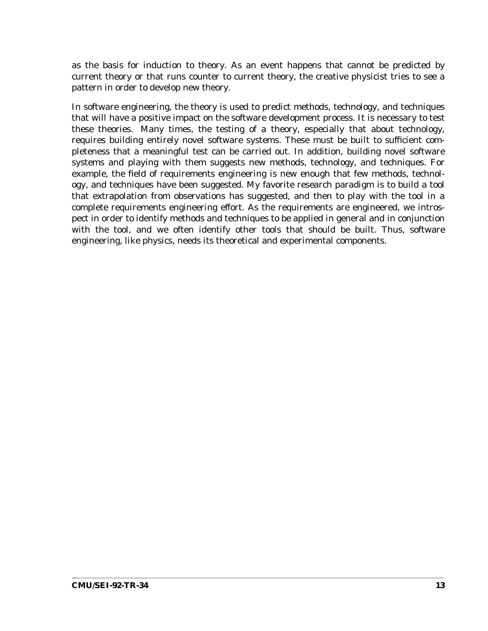as the basis for induction to theory. As an event happens that cannot be predicted by current theory or that runs counter to current theory, the creative physicist tries to see a pattern in order to develop new theory.

In software engineering, the theory is used to predict methods, technology, and techniques that will have a positive impact on the software development process. It is necessary to test these theories. Many times, the testing of a theory, especially that about technology, requires building entirely novel software systems. These must be built to sufficient completeness that a meaningful test can be carried out. In addition, building novel software systems and playing with them suggests new methods, technology, and techniques. For example, the field of requirements engineering is new enough that few methods, technology, and techniques have been suggested. My favorite research paradigm is to build a tool that extrapolation from observations has suggested, and then to play with the tool in a complete requirements engineering effort. As the requirements are engineered, we introspect in order to identify methods and techniques to be applied in general and in conjunction with the tool, and we often identify other tools that should be built. Thus, software engineering, like physics, needs its theoretical and experimental components.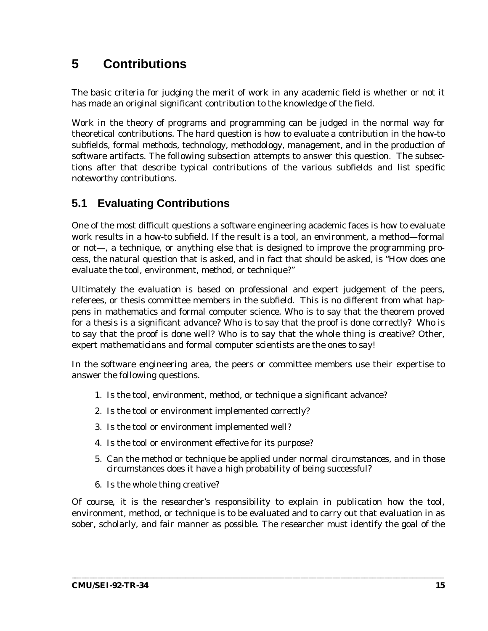# **5 Contributions**

The basic criteria for judging the merit of work in any academic field is whether or not it has made an original significant contribution to the knowledge of the field.

Work in the theory of programs and programming can be judged in the normal way for theoretical contributions. The hard question is how to evaluate a contribution in the how-to subfields, formal methods, technology, methodology, management, and in the production of software artifacts. The following subsection attempts to answer this question. The subsections after that describe typical contributions of the various subfields and list specific noteworthy contributions.

## **5.1 Evaluating Contributions**

One of the most difficult questions a software engineering academic faces is how to evaluate work results in a how-to subfield. If the result is a tool, an environment, a method—formal or not—, a technique, or anything else that is designed to improve the programming process, the natural question that is asked, and in fact that *should* be asked, is "How does one evaluate the tool, environment, method, or technique?"

Ultimately the evaluation is based on professional and expert judgement of the peers, referees, or thesis committee members in the subfield. This is no different from what happens in mathematics and formal computer science. Who is to say that the theorem proved for a thesis is a significant advance? Who is to say that the proof is done correctly? Who is to say that the proof is done well? Who is to say that the whole thing is creative? Other, expert mathematicians and formal computer scientists are the ones to say!

In the software engineering area, the peers or committee members use their expertise to answer the following questions.

- 1. Is the tool, environment, method, or technique a significant advance?
- 2. Is the tool or environment implemented correctly?
- 3. Is the tool or environment implemented well?
- 4. Is the tool or environment effective for its purpose?
- 5. Can the method or technique be applied under normal circumstances, and in those circumstances does it have a high probability of being successful?
- 6. Is the whole thing creative?

Of course, it is the researcher's responsibility to explain in publication how the tool, environment, method, or technique is to be evaluated and to carry out that evaluation in as sober, scholarly, and fair manner as possible. The researcher must identify the goal of the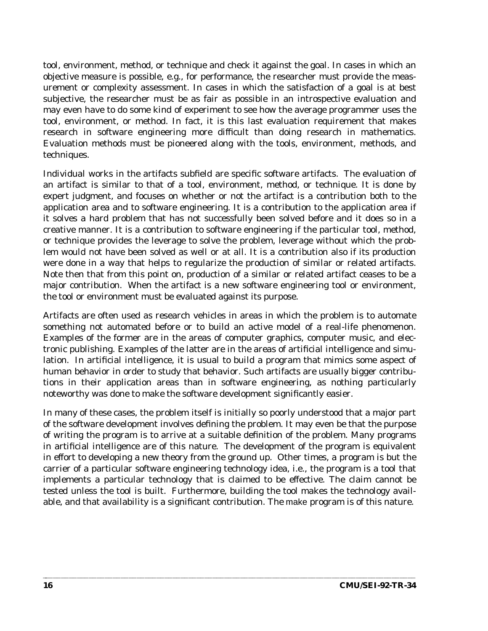tool, environment, method, or technique and check it against the goal. In cases in which an objective measure is possible, e.g., for performance, the researcher must provide the measurement or complexity assessment. In cases in which the satisfaction of a goal is at best subjective, the researcher must be as fair as possible in an introspective evaluation and may even have to do some kind of experiment to see how the average programmer uses the tool, environment, or method. In fact, it is this last evaluation requirement that makes research in software engineering more difficult than doing research in mathematics. Evaluation methods must be pioneered along with the tools, environment, methods, and techniques.

Individual works in the artifacts subfield are specific software artifacts. The evaluation of an artifact is similar to that of a tool, environment, method, or technique. It is done by expert judgment, and focuses on whether or not the artifact is a contribution both to the application area and to software engineering. It is a contribution to the application area if it solves a hard problem that has not successfully been solved before and it does so in a creative manner. It is a contribution to software engineering if the particular tool, method, or technique provides the leverage to solve the problem, leverage without which the problem would not have been solved as well or at all. It is a contribution also if its production were done in a way that helps to regularize the production of similar or related artifacts. Note then that from this point on, production of a similar or related artifact ceases to be a major contribution. When the artifact is a new software engineering tool or environment, the tool or environment must be evaluated against its purpose.

Artifacts are often used as research vehicles in areas in which the problem is to automate something not automated before or to build an active model of a real-life phenomenon. Examples of the former are in the areas of computer graphics, computer music, and electronic publishing. Examples of the latter are in the areas of artificial intelligence and simulation. In artificial intelligence, it is usual to build a program that mimics some aspect of human behavior in order to study that behavior. Such artifacts are usually bigger contributions in their application areas than in software engineering, as nothing particularly noteworthy was done to make the software development significantly easier.

In many of these cases, the problem itself is initially so poorly understood that a major part of the software development involves defining the problem. It may even be that the purpose of writing the program is to arrive at a suitable definition of the problem. Many programs in artificial intelligence are of this nature. The development of the program is equivalent in effort to developing a new theory from the ground up. Other times, a program is but the carrier of a particular software engineering technology idea, i.e., the program is a tool that implements a particular technology that is claimed to be effective. The claim cannot be tested unless the tool is built. Furthermore, building the tool makes the technology available, and that availability is a significant contribution. The make program is of this nature.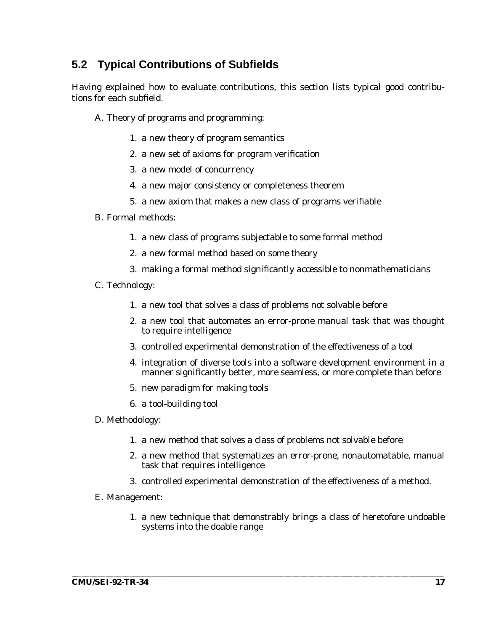### **5.2 Typical Contributions of Subfields**

Having explained how to evaluate contributions, this section lists typical good contributions for each subfield.

- A. Theory of programs and programming:
	- 1. a new theory of program semantics
	- 2. a new set of axioms for program verification
	- 3. a new model of concurrency
	- 4. a new major consistency or completeness theorem
	- 5. a new axiom that makes a new class of programs verifiable
- B. Formal methods:
	- 1. a new class of programs subjectable to some formal method
	- 2. a new formal method based on some theory
	- 3. making a formal method significantly accessible to nonmathematicians
- C. Technology:
	- 1. a new tool that solves a class of problems not solvable before
	- 2. a new tool that automates an error-prone manual task that was thought to require intelligence
	- 3. controlled experimental demonstration of the effectiveness of a tool
	- 4. integration of diverse tools into a software development environment in a manner significantly better, more seamless, or more complete than before
	- 5. new paradigm for making tools
	- 6. a tool-building tool
- D. Methodology:
	- 1. a new method that solves a class of problems not solvable before
	- 2. a new method that systematizes an error-prone, nonautomatable, manual task that requires intelligence
	- 3. controlled experimental demonstration of the effectiveness of a method.
- E. Management:
	- 1. a new technique that demonstrably brings a class of heretofore undoable systems into the doable range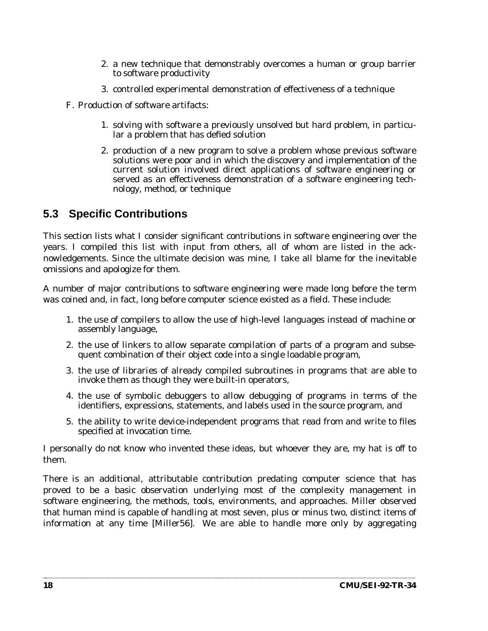- 2. a new technique that demonstrably overcomes a human or group barrier to software productivity
- 3. controlled experimental demonstration of effectiveness of a technique
- F. Production of software artifacts:
	- 1. solving with software a previously unsolved but hard problem, in particular a problem that has defied solution
	- 2. production of a new program to solve a problem whose previous software solutions were poor and in which the discovery and implementation of the current solution involved direct applications of software engineering or served as an effectiveness demonstration of a software engineering technology, method, or technique

#### **5.3 Specific Contributions**

This section lists what I consider significant contributions in software engineering over the years. I compiled this list with input from others, all of whom are listed in the acknowledgements. Since the ultimate decision was mine, I take all blame for the inevitable omissions and apologize for them.

A number of major contributions to software engineering were made long before the term was coined and, in fact, long before computer science existed as a field. These include:

- 1. the use of compilers to allow the use of high-level languages instead of machine or assembly language,
- 2. the use of linkers to allow separate compilation of parts of a program and subsequent combination of their object code into a single loadable program,
- 3. the use of libraries of already compiled subroutines in programs that are able to invoke them as though they were built-in operators,
- 4. the use of symbolic debuggers to allow debugging of programs in terms of the identifiers, expressions, statements, and labels used in the source program, and
- 5. the ability to write device-independent programs that read from and write to files specified at invocation time.

I personally do not know who invented these ideas, but whoever they are, my hat is off to them.

There is an additional, attributable contribution predating computer science that has proved to be a basic observation underlying most of the complexity management in software engineering, the methods, tools, environments, and approaches. Miller observed that human mind is capable of handling at most seven, plus or minus two, distinct items of information at any time [Miller56]. We are able to handle more only by aggregating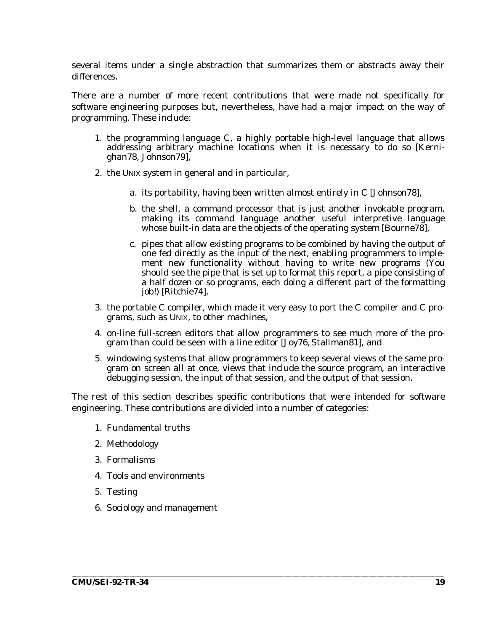several items under a single abstraction that summarizes them or abstracts away their differences.

There are a number of more recent contributions that were made not specifically for software engineering purposes but, nevertheless, have had a major impact on the way of programming. These include:

- 1. the programming language C, a highly portable high-level language that allows addressing arbitrary machine locations when it is necessary to do so [Kernighan78, Johnson79],
- 2. the UNIX system in general and in particular,
	- a. its portability, having been written almost entirely in C [Johnson78],
	- b. the shell, a command processor that is just another invokable program, making its command language another useful interpretive language whose built-in data are the objects of the operating system [Bourne78],
	- c. pipes that allow existing programs to be combined by having the output of one fed directly as the input of the next, enabling programmers to implement new functionality without having to write new programs (You should see the pipe that is set up to format this report, a pipe consisting of a half dozen or so programs, each doing a different part of the formatting job!) [Ritchie74],
- 3. the portable C compiler, which made it very easy to port the C compiler and C programs, such as UNIX, to other machines,
- 4. on-line full-screen editors that allow programmers to see much more of the program than could be seen with a line editor [Joy76, Stallman81], and
- 5. windowing systems that allow programmers to keep several views of the same program on screen all at once, views that include the source program, an interactive debugging session, the input of that session, and the output of that session.

The rest of this section describes specific contributions that were intended for software engineering. These contributions are divided into a number of categories:

- 1. Fundamental truths
- 2. Methodology
- 3. Formalisms
- 4. Tools and environments
- 5. Testing
- 6. Sociology and management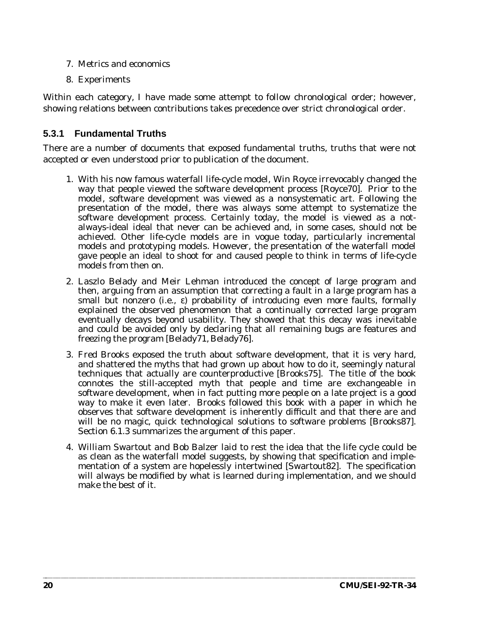- 7. Metrics and economics
- 8. Experiments

Within each category, I have made some attempt to follow chronological order; however, showing relations between contributions takes precedence over strict chronological order.

#### **5.3.1 Fundamental Truths**

There are a number of documents that exposed fundamental truths, truths that were not accepted or even understood prior to publication of the document.

- 1. With his now famous waterfall life-cycle model, Win Royce irrevocably changed the way that people viewed the software development process [Royce70]. Prior to the model, software development was viewed as a nonsystematic art. Following the presentation of the model, there was always some attempt to systematize the software development process. Certainly today, the model is viewed as a notalways-ideal ideal that never can be achieved and, in some cases, should not be achieved. Other life-cycle models are in vogue today, particularly incremental models and prototyping models. However, the presentation of the waterfall model gave people an ideal to shoot for and caused people to think in terms of life-cycle models from then on.
- 2. Laszlo Belady and Meir Lehman introduced the concept of large program and then, arguing from an assumption that correcting a fault in a large program has a small but nonzero (i.e.,  $\varepsilon$ ) probability of introducing even more faults, formally explained the observed phenomenon that a continually corrected large program eventually decays beyond usability. They showed that this decay was inevitable and could be avoided *only* by declaring that all remaining bugs are features and freezing the program [Belady71, Belady76].
- 3. Fred Brooks exposed the truth about software development, that it is very hard, and shattered the myths that had grown up about how to do it, seemingly natural techniques that actually are counterproductive [Brooks75]. The title of the book connotes the still-accepted myth that people and time are exchangeable in software development, when in fact putting more people on a late project is a good way to make it even later. Brooks followed this book with a paper in which he observes that software development is inherently difficult and that there are and will be no magic, quick technological solutions to software problems [Brooks87]. Section 6.1.3 summarizes the argument of this paper.
- 4. William Swartout and Bob Balzer laid to rest the idea that the life cycle could be as clean as the waterfall model suggests, by showing that specification and implementation of a system are hopelessly intertwined [Swartout82]. The specification will always be modified by what is learned during implementation, and we should make the best of it.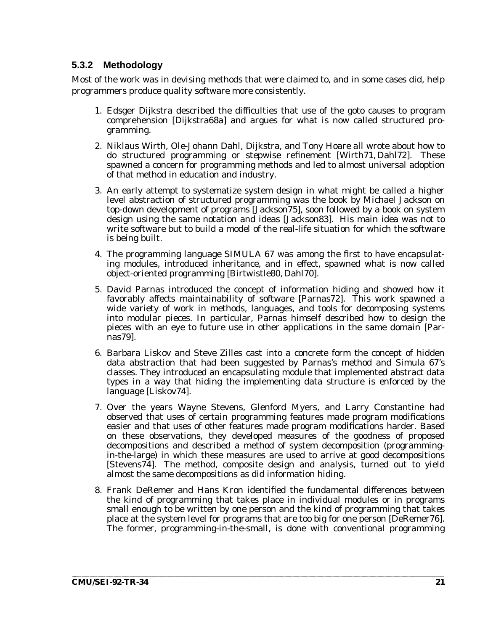#### **5.3.2 Methodology**

Most of the work was in devising methods that were claimed to, and in some cases did, help programmers produce quality software more consistently.

- 1. Edsger Dijkstra described the difficulties that use of the goto causes to program comprehension [Dijkstra68a] and argues for what is now called structured programming.
- 2. Niklaus Wirth, Ole-Johann Dahl, Dijkstra, and Tony Hoare all wrote about how to do structured programming or stepwise refinement [Wirth71, Dahl72]. These spawned a concern for programming methods and led to almost universal adoption of that method in education and industry.
- 3. An early attempt to systematize system design in what might be called a higher level abstraction of structured programming was the book by Michael Jackson on top-down development of programs [Jackson75], soon followed by a book on system design using the same notation and ideas [Jackson83]. His main idea was not to write software but to build a model of the real-life situation for which the software is being built.
- 4. The programming language SIMULA 67 was among the first to have encapsulating modules, introduced inheritance, and in effect, spawned what is now called object-oriented programming [Birtwistle80, Dahl70].
- 5. David Parnas introduced the concept of information hiding and showed how it favorably affects maintainability of software [Parnas72]. This work spawned a wide variety of work in methods, languages, and tools for decomposing systems into modular pieces. In particular, Parnas himself described how to design the pieces with an eye to future use in other applications in the same domain [Parnas79].
- 6. Barbara Liskov and Steve Zilles cast into a concrete form the concept of hidden data abstraction that had been suggested by Parnas's method and Simula 67's classes. They introduced an encapsulating module that implemented abstract data types in a way that hiding the implementing data structure is enforced by the language [Liskov74].
- 7. Over the years Wayne Stevens, Glenford Myers, and Larry Constantine had observed that uses of certain programming features made program modifications easier and that uses of other features made program modifications harder. Based on these observations, they developed measures of the goodness of proposed decompositions and described a method of system decomposition (programmingin-the-large) in which these measures are used to arrive at good decompositions [Stevens74]. The method, composite design and analysis, turned out to yield almost the same decompositions as did information hiding.
- 8. Frank DeRemer and Hans Kron identified the fundamental differences between the kind of programming that takes place in individual modules or in programs small enough to be written by one person and the kind of programming that takes place at the system level for programs that are too big for one person [DeRemer76]. The former, programming-in-the-small, is done with conventional programming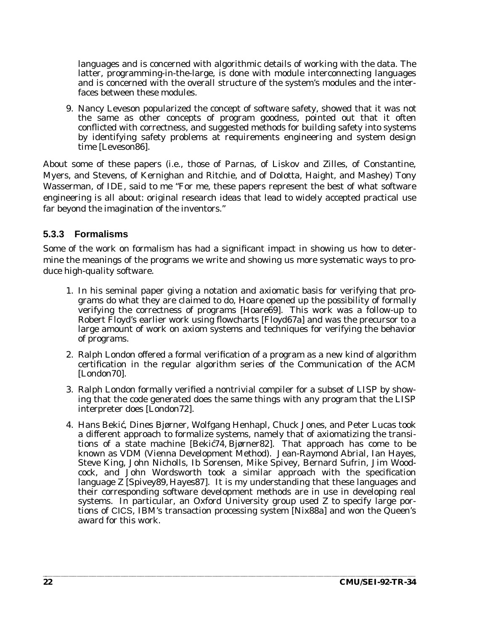languages and is concerned with algorithmic details of working with the data. The latter, programming-in-the-large, is done with module interconnecting languages and is concerned with the overall structure of the system's modules and the interfaces between these modules.

9. Nancy Leveson popularized the concept of software safety, showed that it was *not* the same as other concepts of program goodness, pointed out that it often conflicted with correctness, and suggested methods for building safety into systems by identifying safety problems at requirements engineering and system design time [Leveson86].

About some of these papers (i.e., those of Parnas, of Liskov and Zilles, of Constantine, Myers, and Stevens, of Kernighan and Ritchie, and of Dolotta, Haight, and Mashey) Tony Wasserman, of IDE, said to me "For me, these papers represent the best of what software engineering is all about: original research ideas that lead to widely accepted practical use far beyond the imagination of the inventors."

#### **5.3.3 Formalisms**

Some of the work on formalism has had a significant impact in showing us how to determine the meanings of the programs we write and showing us more systematic ways to produce high-quality software.

- 1. In his seminal paper giving a notation and axiomatic basis for verifying that programs do what they are claimed to do, Hoare opened up the possibility of formally verifying the correctness of programs [Hoare69]. This work was a follow-up to Robert Floyd's earlier work using flowcharts [Floyd67a] and was the precursor to a large amount of work on axiom systems and techniques for verifying the behavior of programs.
- 2. Ralph London offered a formal verification of a program as a new kind of algorithm certification in the regular algorithm series of the *Communication of the ACM* [London70].
- 3. Ralph London formally verified a nontrivial compiler for a subset of LISP by showing that the code generated does the same things with any program that the LISP interpreter does [London72].
- 4. Hans Bekić, Dines Bjørner, Wolfgang Henhapl, Chuck Jones, and Peter Lucas took a different approach to formalize systems, namely that of axiomatizing the transitions of a state machine [Bekic´74, Bjørner82]. That approach has come to be known as VDM (Vienna Development Method). Jean-Raymond Abrial, Ian Hayes, Steve King, John Nicholls, Ib Sorensen, Mike Spivey, Bernard Sufrin, Jim Woodcock, and John Wordsworth took a similar approach with the specification language Z [Spivey89, Hayes87]. It is my understanding that these languages and their corresponding software development methods are in use in developing real systems. In particular, an Oxford University group used Z to specify large portions of CICS, IBM's transaction processing system [Nix88a] and won the Queen's award for this work.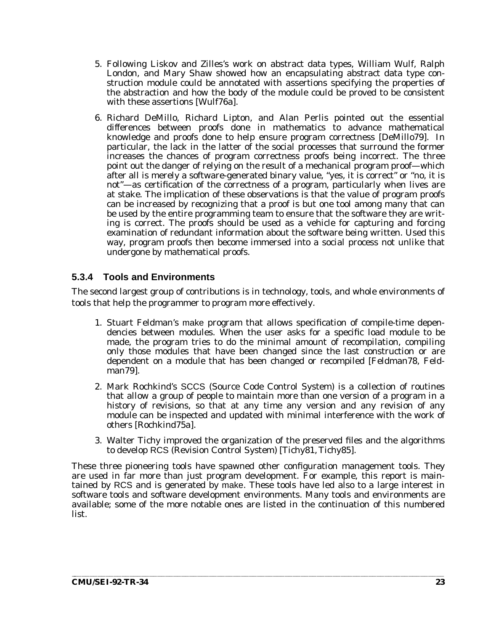- 5. Following Liskov and Zilles's work on abstract data types, William Wulf, Ralph London, and Mary Shaw showed how an encapsulating abstract data type construction module could be annotated with assertions specifying the properties of the abstraction and how the body of the module could be proved to be consistent with these assertions [Wulf76a].
- 6. Richard DeMillo, Richard Lipton, and Alan Perlis pointed out the essential differences between proofs done in mathematics to advance mathematical knowledge and proofs done to help ensure program correctness [DeMillo79]. In particular, the lack in the latter of the social processes that surround the former increases the chances of program correctness proofs being incorrect. The three point out the danger of relying on the result of a mechanical program proof—which after all is merely a software-generated binary value, "yes, it is correct" or "no, it is not"—as certification of the correctness of a program, particularly when lives are at stake. The implication of these observations is that the value of program proofs can be increased by recognizing that a proof is but one tool among many that can be used by the entire programming team to ensure that the software they are writing is correct. The proofs should be used as a vehicle for capturing and forcing examination of redundant information about the software being written. Used this way, program proofs then become immersed into a social process not unlike that undergone by mathematical proofs.

#### **5.3.4 Tools and Environments**

The second largest group of contributions is in technology, tools, and whole environments of tools that help the programmer to program more effectively.

- 1. Stuart Feldman's make program that allows specification of compile-time dependencies between modules. When the user asks for a specific load module to be made, the program tries to do the minimal amount of recompilation, compiling only those modules that have been changed since the last construction or are dependent on a module that has been changed or recompiled [Feldman78, Feldman79].
- 2. Mark Rochkind's SCCS (Source Code Control System) is a collection of routines that allow a group of people to maintain more than one version of a program in a history of revisions, so that at any time any version and any revision of any module can be inspected and updated with minimal interference with the work of others [Rochkind75a].
- 3. Walter Tichy improved the organization of the preserved files and the algorithms to develop RCS (Revision Control System) [Tichy81, Tichy85].

These three pioneering tools have spawned other configuration management tools. They are used in far more than just program development. For example, this report is maintained by RCS and is generated by make. These tools have led also to a large interest in software tools and software development environments. Many tools and environments are available; some of the more notable ones are listed in the continuation of this numbered list.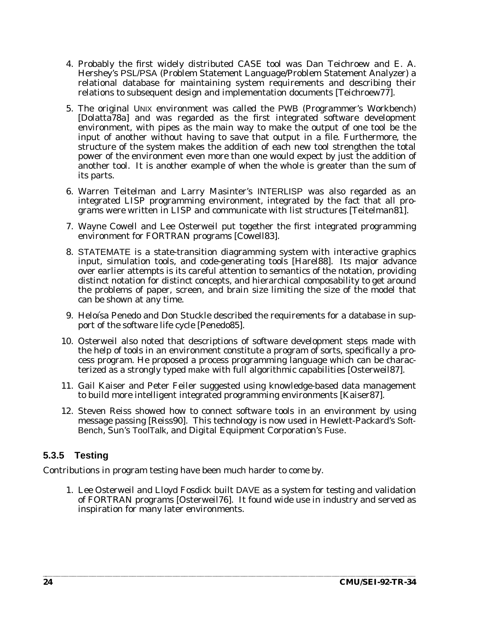- 4. Probably the first widely distributed CASE tool was Dan Teichroew and E. A. Hershey's PSL/PSA (Problem Statement Language/Problem Statement Analyzer) a relational database for maintaining system requirements and describing their relations to subsequent design and implementation documents [Teichroew77].
- 5. The original UNIX environment was called the PWB (Programmer's Workbench) [Dolatta78a] and was regarded as the first integrated software development environment, with pipes as the main way to make the output of one tool be the input of another without having to save that output in a file. Furthermore, the structure of the system makes the addition of each new tool strengthen the total power of the environment even more than one would expect by just the addition of another tool. It is another example of when the whole is greater than the sum of its parts.
- 6. Warren Teitelman and Larry Masinter's INTERLISP was also regarded as an integrated LISP programming environment, integrated by the fact that all programs were written in LISP and communicate with list structures [Teitelman81].
- 7. Wayne Cowell and Lee Osterweil put together the first integrated programming environment for FORTRAN programs [Cowell83].
- 8. STATEMATE is a state-transition diagramming system with interactive graphics input, simulation tools, and code-generating tools [Harel88]. Its major advance over earlier attempts is its careful attention to semantics of the notation, providing distinct notation for distinct concepts, and hierarchical composability to get around the problems of paper, screen, and brain size limiting the size of the model that can be shown at any time.
- 9. Heloísa Penedo and Don Stuckle described the requirements for a database in support of the software life cycle [Penedo85].
- 10. Osterweil also noted that descriptions of software development steps made with the help of tools in an environment constitute a program of sorts, specifically a process program. He proposed a process programming language which can be characterized as a strongly typed make with full algorithmic capabilities [Osterweil87].
- 11. Gail Kaiser and Peter Feiler suggested using knowledge-based data management to build more intelligent integrated programming environments [Kaiser87].
- 12. Steven Reiss showed how to connect software tools in an environment by using message passing [Reiss90]. This technology is now used in Hewlett-Packard's Soft-Bench, Sun's ToolTalk, and Digital Equipment Corporation's Fuse.

#### **5.3.5 Testing**

Contributions in program testing have been much harder to come by.

1. Lee Osterweil and Lloyd Fosdick built DAVE as a system for testing and validation of FORTRAN programs [Osterweil76]. It found wide use in industry and served as inspiration for many later environments.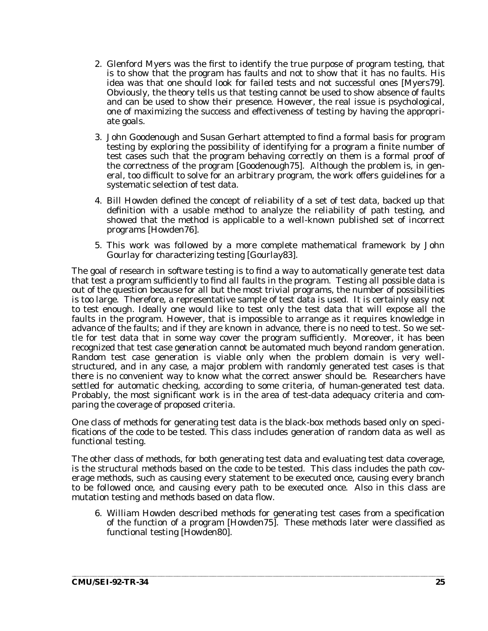- 2. Glenford Myers was the first to identify the true purpose of program testing, that is to show that the program has faults and *not* to show that it has no faults. His idea was that one should look for *failed* tests and not successful ones [Myers79]. Obviously, the theory tells us that testing cannot be used to show absence of faults and can be used to show their presence. However, the real issue is psychological, one of maximizing the success and effectiveness of testing by having the appropriate goals.
- 3. John Goodenough and Susan Gerhart attempted to find a formal basis for program testing by exploring the possibility of identifying for a program a finite number of test cases such that the program behaving correctly on them is a formal proof of the correctness of the program [Goodenough75]. Although the problem is, in general, too difficult to solve for an arbitrary program, the work offers guidelines for a systematic selection of test data.
- 4. Bill Howden defined the concept of reliability of a set of test data, backed up that definition with a usable method to analyze the reliability of path testing, and showed that the method is applicable to a well-known published set of incorrect programs [Howden76].
- 5. This work was followed by a more complete mathematical framework by John Gourlay for characterizing testing [Gourlay83].

The goal of research in software testing is to find a way to automatically generate test data that test a program sufficiently to find all faults in the program. Testing all possible data is out of the question because for all but the most trivial programs, the number of possibilities is too large. Therefore, a representative sample of test data is used. It is certainly easy not to test enough. Ideally one would like to test only the test data that will expose all the faults in the program. However, that is impossible to arrange as it requires knowledge in advance of the faults; and if they are known in advance, there is no need to test. So we settle for test data that in some way cover the program sufficiently. Moreover, it has been recognized that test case *generation* cannot be automated much beyond random generation. Random test case generation is viable only when the problem domain is very wellstructured, and in any case, a major problem with randomly generated test cases is that there is no convenient way to know what the correct answer should be. Researchers have settled for automatic checking, according to some criteria, of human-generated test data. Probably, the most significant work is in the area of test-data adequacy criteria and comparing the coverage of proposed criteria.

One class of methods for generating test data is the black-box methods based only on specifications of the code to be tested. This class includes generation of random data as well as functional testing.

The other class of methods, for both generating test data and evaluating test data coverage, is the structural methods based on the code to be tested. This class includes the path coverage methods, such as causing every statement to be executed once, causing every branch to be followed once, and causing every path to be executed once. Also in this class are mutation testing and methods based on data flow.

6. William Howden described methods for generating test cases from a specification of the function of a program [Howden75]. These methods later were classified as functional testing [Howden80].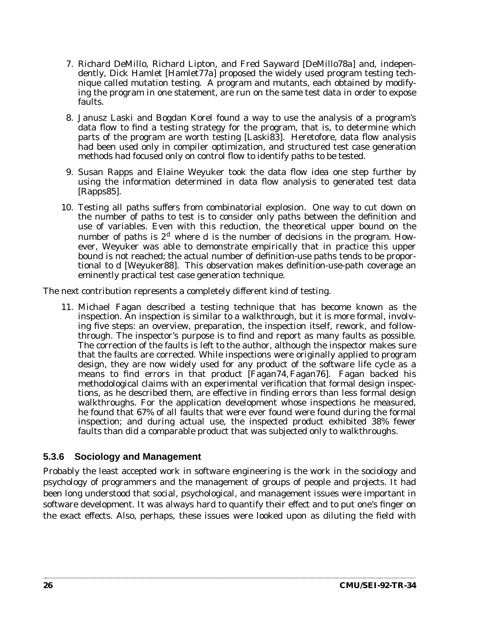- 7. Richard DeMillo, Richard Lipton, and Fred Sayward [DeMillo78a] and, independently, Dick Hamlet [Hamlet77a] proposed the widely used program testing technique called mutation testing. A program and mutants, each obtained by modifying the program in one statement, are run on the same test data in order to expose faults.
- 8. Janusz Laski and Bogdan Korel found a way to use the analysis of a program's data flow to find a testing strategy for the program, that is, to determine which parts of the program are worth testing [Laski83]. Heretofore, data flow analysis had been used only in compiler optimization, and structured test case generation methods had focused only on control flow to identify paths to be tested.
- 9. Susan Rapps and Elaine Weyuker took the data flow idea one step further by using the information determined in data flow analysis to generated test data [Rapps85].
- 10. Testing all paths suffers from combinatorial explosion. One way to cut down on the number of paths to test is to consider only paths between the definition and use of variables. Even with this reduction, the theoretical upper bound on the number of paths is  $2^d$  where  $d$  is the number of decisions in the program. However, Weyuker was able to demonstrate empirically that in practice this upper bound is not reached; the actual number of definition-use paths tends to be proportional to *d* [Weyuker88]. This observation makes definition-use-path coverage an eminently practical test case generation technique.

The next contribution represents a completely different kind of testing.

11. Michael Fagan described a testing technique that has become known as the inspection. An inspection is similar to a walkthrough, but it is more formal, involving five steps: an overview, preparation, the inspection itself, rework, and followthrough. The inspector's purpose is to find and report as many faults as possible. The correction of the faults is left to the author, although the inspector makes sure that the faults are corrected. While inspections were originally applied to program design, they are now widely used for any product of the software life cycle as a means to find errors in that product [Fagan74, Fagan76]. Fagan backed his methodological claims with an experimental verification that formal design inspections, as he described them, are effective in finding errors than less formal design walkthroughs. For the application development whose inspections he measured, he found that 67% of all faults that were ever found were found during the formal inspection; and during actual use, the inspected product exhibited 38% fewer faults than did a comparable product that was subjected only to walkthroughs.

#### **5.3.6 Sociology and Management**

Probably the least accepted work in software engineering is the work in the sociology and psychology of programmers and the management of groups of people and projects. It had been long understood that social, psychological, and management issues were important in software development. It was always hard to quantify their effect and to put one's finger on the exact effects. Also, perhaps, these issues were looked upon as diluting the field with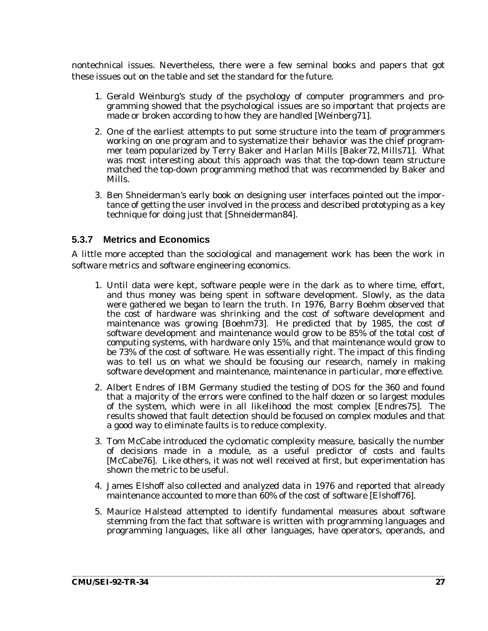nontechnical issues. Nevertheless, there were a few seminal books and papers that got these issues out on the table and set the standard for the future.

- 1. Gerald Weinburg's study of the psychology of computer programmers and programming showed that the psychological issues are so important that projects are made or broken according to how they are handled [Weinberg71].
- 2. One of the earliest attempts to put some structure into the team of programmers working on one program and to systematize their behavior was the chief programmer team popularized by Terry Baker and Harlan Mills [Baker72, Mills71]. What was most interesting about this approach was that the top-down team structure matched the top-down programming method that was recommended by Baker and Mills.
- 3. Ben Shneiderman's early book on designing user interfaces pointed out the importance of getting the user involved in the process and described prototyping as a key technique for doing just that [Shneiderman84].

#### **5.3.7 Metrics and Economics**

A little more accepted than the sociological and management work has been the work in software metrics and software engineering economics.

- 1. Until data were kept, software people were in the dark as to where time, effort, and thus money was being spent in software development. Slowly, as the data were gathered we began to learn the truth. In 1976, Barry Boehm observed that the cost of hardware was shrinking and the cost of software development and maintenance was growing [Boehm73]. He predicted that by 1985, the cost of software development and maintenance would grow to be 85% of the total cost of computing systems, with hardware only 15%, and that maintenance would grow to be 73% of the cost of software. He was essentially right. The impact of this finding was to tell us on what we should be focusing our research, namely in making software development and maintenance, maintenance in particular, more effective.
- 2. Albert Endres of IBM Germany studied the testing of DOS for the 360 and found that a majority of the errors were confined to the half dozen or so largest modules of the system, which were in all likelihood the most complex [Endres75]. The results showed that fault detection should be focused on complex modules and that a good way to eliminate faults is to reduce complexity.
- 3. Tom McCabe introduced the cyclomatic complexity measure, basically the number of decisions made in a module, as a useful predictor of costs and faults [McCabe76]. Like others, it was not well received at first, but experimentation has shown the metric to be useful.
- 4. James Elshoff also collected and analyzed data in 1976 and reported that already maintenance accounted to more than 60% of the cost of software [Elshoff76].
- 5. Maurice Halstead attempted to identify fundamental measures about software stemming from the fact that software is written with programming languages and programming languages, like all other languages, have operators, operands, and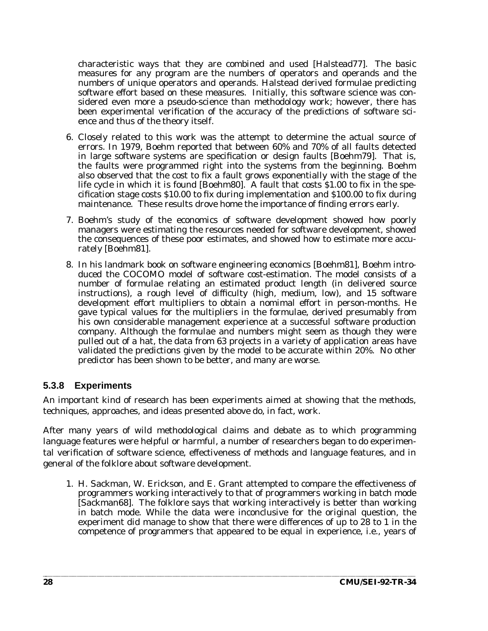characteristic ways that they are combined and used [Halstead77]. The basic measures for any program are the numbers of operators and operands and the numbers of unique operators and operands. Halstead derived formulae predicting software effort based on these measures. Initially, this software science was considered even more a pseudo-science than methodology work; however, there has been experimental verification of the accuracy of the predictions of software science and thus of the theory itself.

- 6. Closely related to this work was the attempt to determine the actual source of errors. In 1979, Boehm reported that between 60% and 70% of all faults detected in large software systems are specification or design faults [Boehm79]. That is, the faults were programmed right into the systems from the beginning. Boehm also observed that the cost to fix a fault grows exponentially with the stage of the life cycle in which it is found [Boehm80]. A fault that costs \$1.00 to fix in the specification stage costs \$10.00 to fix during implementation and \$100.00 to fix during maintenance. These results drove home the importance of finding errors early.
- 7. Boehm's study of the economics of software development showed how poorly managers were estimating the resources needed for software development, showed the consequences of these poor estimates, and showed how to estimate more accurately [Boehm81].
- 8. In his landmark book on software engineering economics [Boehm81], Boehm introduced the COCOMO model of software cost-estimation. The model consists of a number of formulae relating an estimated product length (in delivered source instructions), a rough level of difficulty (high, medium, low), and 15 software development effort multipliers to obtain a nomimal effort in person-months. He gave typical values for the multipliers in the formulae, derived presumably from his own considerable management experience at a successful software production company. Although the formulae and numbers might seem as though they were pulled out of a hat, the data from 63 projects in a variety of application areas have validated the predictions given by the model to be accurate within 20%. No other predictor has been shown to be better, and many are worse.

#### **5.3.8 Experiments**

An important kind of research has been experiments aimed at showing that the methods, techniques, approaches, and ideas presented above do, in fact, work.

After many years of wild methodological claims and debate as to which programming language features were helpful or harmful, a number of researchers began to do experimental verification of software science, effectiveness of methods and language features, and in general of the folklore about software development.

1. H. Sackman, W. Erickson, and E. Grant attempted to compare the effectiveness of programmers working interactively to that of programmers working in batch mode [Sackman68]. The folklore says that working interactively is better than working in batch mode. While the data were inconclusive for the original question, the experiment did manage to show that there were differences of up to 28 to 1 in the competence of programmers that appeared to be equal in experience, i.e., years of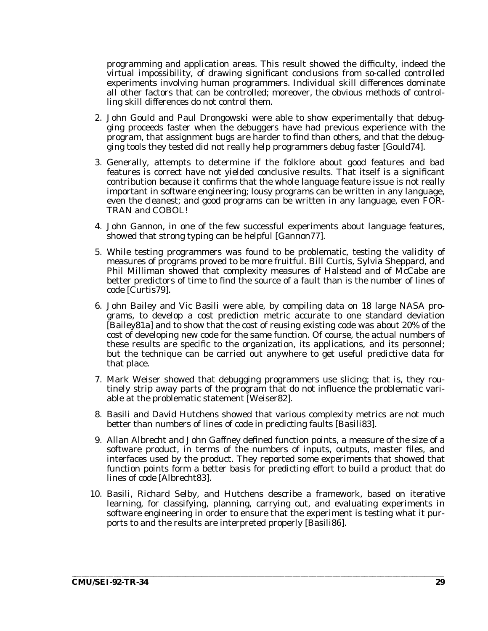programming and application areas. This result showed the difficulty, indeed the virtual impossibility, of drawing significant conclusions from so-called controlled experiments involving human programmers. Individual skill differences dominate all other factors that can be controlled; moreover, the obvious methods of controlling skill differences do not control them.

- 2. John Gould and Paul Drongowski were able to show experimentally that debugging proceeds faster when the debuggers have had previous experience with the program, that assignment bugs are harder to find than others, and that the debugging tools they tested did not really help programmers debug faster [Gould74].
- 3. Generally, attempts to determine if the folklore about good features and bad features is correct have not yielded conclusive results. That itself is a significant contribution because it confirms that the whole language feature issue is not really important in software engineering; lousy programs can be written in any language, even the cleanest; and good programs can be written in any language, even FOR-TRAN and COBOL!
- 4. John Gannon, in one of the few successful experiments about language features, showed that strong typing can be helpful [Gannon77].
- 5. While testing programmers was found to be problematic, testing the validity of measures of programs proved to be more fruitful. Bill Curtis, Sylvia Sheppard, and Phil Milliman showed that complexity measures of Halstead and of McCabe are better predictors of time to find the source of a fault than is the number of lines of code [Curtis79].
- 6. John Bailey and Vic Basili were able, by compiling data on 18 large NASA programs, to develop a cost prediction metric accurate to one standard deviation [Bailey81a] and to show that the cost of reusing existing code was about 20% of the cost of developing new code for the same function. Of course, the actual numbers of these results are specific to the organization, its applications, and its personnel; but the technique can be carried out anywhere to get useful predictive data for that place.
- 7. Mark Weiser showed that debugging programmers use slicing; that is, they routinely strip away parts of the program that do not influence the problematic variable at the problematic statement [Weiser82].
- 8. Basili and David Hutchens showed that various complexity metrics are not much better than numbers of lines of code in predicting faults [Basili83].
- 9. Allan Albrecht and John Gaffney defined function points, a measure of the size of a software product, in terms of the numbers of inputs, outputs, master files, and interfaces used by the product. They reported some experiments that showed that function points form a better basis for predicting effort to build a product that do lines of code [Albrecht83].
- 10. Basili, Richard Selby, and Hutchens describe a framework, based on iterative learning, for classifying, planning, carrying out, and evaluating experiments in software engineering in order to ensure that the experiment is testing what it purports to and the results are interpreted properly [Basili86].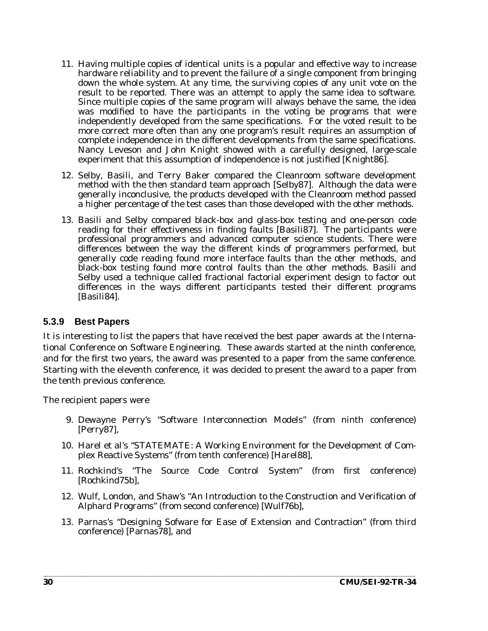- 11. Having multiple copies of identical units is a popular and effective way to increase hardware reliability and to prevent the failure of a single component from bringing down the whole system. At any time, the surviving copies of any unit vote on the result to be reported. There was an attempt to apply the same idea to software. Since multiple copies of the same program will always behave the same, the idea was modified to have the participants in the voting be programs that were independently developed from the same specifications. For the voted result to be more correct more often than any one program's result requires an assumption of complete independence in the different developments from the same specifications. Nancy Leveson and John Knight showed with a carefully designed, large-scale experiment that this assumption of independence is not justified [Knight86].
- 12. Selby, Basili, and Terry Baker compared the Cleanroom software development method with the then standard team approach [Selby87]. Although the data were generally inconclusive, the products developed with the Cleanroom method passed a higher percentage of the test cases than those developed with the other methods.
- 13. Basili and Selby compared black-box and glass-box testing and one-person code reading for their effectiveness in finding faults [Basili87]. The participants were professional programmers and advanced computer science students. There were differences between the way the different kinds of programmers performed, but generally code reading found more interface faults than the other methods, and black-box testing found more control faults than the other methods. Basili and Selby used a technique called fractional factorial experiment design to factor out differences in the ways different participants tested their different programs [Basili84].

#### **5.3.9 Best Papers**

It is interesting to list the papers that have received the best paper awards at the International Conference on Software Engineering. These awards started at the ninth conference, and for the first two years, the award was presented to a paper from the same conference. Starting with the eleventh conference, it was decided to present the award to a paper from the tenth previous conference.

The recipient papers were

- 9. Dewayne Perry's "Software Interconnection Models" (from ninth conference) [Perry87],
- 10. Harel et al's "STATEMATE: A Working Environment for the Development of Complex Reactive Systems" (from tenth conference) [Harel88],
- 11. Rochkind's "The Source Code Control System" (from first conference) [Rochkind75b],
- 12. Wulf, London, and Shaw's "An Introduction to the Construction and Verification of Alphard Programs" (from second conference) [Wulf76b],
- 13. Parnas's "Designing Sofware for Ease of Extension and Contraction" (from third conference) [Parnas78], and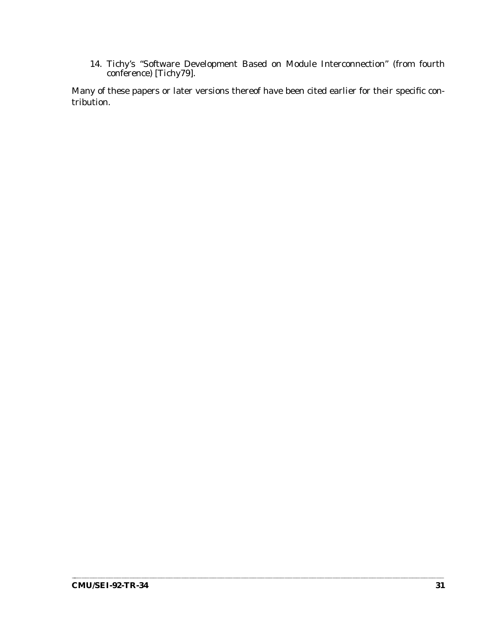14. Tichy's "Software Development Based on Module Interconnection" (from fourth conference) [Tichy79].

Many of these papers or later versions thereof have been cited earlier for their specific contribution.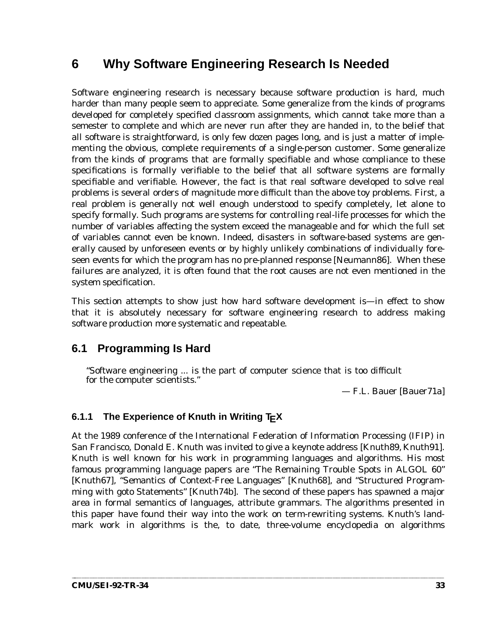## **6 Why Software Engineering Research Is Needed**

Software engineering research is necessary because software production is hard, much harder than many people seem to appreciate. Some generalize from the kinds of programs developed for completely specified classroom assignments, which cannot take more than a semester to complete and which are never run after they are handed in, to the belief that all software is straightforward, is only few dozen pages long, and is just a matter of implementing the obvious, complete requirements of a single-person customer. Some generalize from the kinds of programs that are formally specifiable and whose compliance to these specifications is formally verifiable to the belief that all software systems are formally specifiable and verifiable. However, the fact is that real software developed to solve real problems is several orders of magnitude more difficult than the above toy problems. First, a real problem is generally not well enough understood to specify completely, let alone to specify formally. Such programs are systems for controlling real-life processes for which the number of variables affecting the system exceed the manageable and for which the full set of variables cannot even be known. Indeed, disasters in software-based systems are generally caused by unforeseen events or by highly unlikely combinations of individually foreseen events for which the program has no pre-planned response [Neumann86]. When these failures are analyzed, it is often found that the root causes are not even mentioned in the system specification.

This section attempts to show just how hard software development is—in effect to show that it is absolutely necessary for software engineering research to address making software production more systematic and repeatable.

### **6.1 Programming Is Hard**

"Software engineering ... is the part of computer science that is too difficult for the computer scientists."

— F.L. Bauer [Bauer71a]

#### **6.1.1 The Experience of Knuth in Writing T<sub>F</sub>X**

At the 1989 conference of the International Federation of Information Processing (IFIP) in San Francisco, Donald E. Knuth was invited to give a keynote address [Knuth89, Knuth91]. Knuth is well known for his work in programming languages and algorithms. His most famous programming language papers are "The Remaining Trouble Spots in ALGOL 60" [Knuth67], "Semantics of Context-Free Languages" [Knuth68], and "Structured Programming with goto Statements" [Knuth74b]. The second of these papers has spawned a major area in formal semantics of languages, attribute grammars. The algorithms presented in this paper have found their way into the work on term-rewriting systems. Knuth's landmark work in algorithms is the, to date, three-volume encyclopedia on algorithms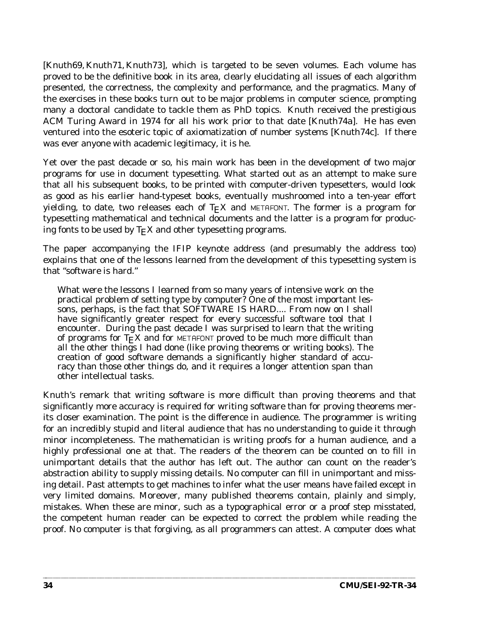[Knuth69, Knuth71, Knuth73], which is targeted to be seven volumes. Each volume has proved to be the definitive book in its area, clearly elucidating all issues of each algorithm presented, the correctness, the complexity and performance, and the pragmatics. Many of the exercises in these books turn out to be major problems in computer science, prompting many a doctoral candidate to tackle them as PhD topics. Knuth received the prestigious ACM Turing Award in 1974 for all his work prior to that date [Knuth74a]. He has even ventured into the esoteric topic of axiomatization of number systems [Knuth74c]. If there was ever anyone with academic legitimacy, it is he.

Yet over the past decade or so, his main work has been in the development of two major programs for use in document typesetting. What started out as an attempt to make sure that all his subsequent books, to be printed with computer-driven typesetters, would look as good as his earlier hand-typeset books, eventually mushroomed into a ten-year effort yielding, to date, two releases each of  $T_F X$  and METAFONT. The former is a program for typesetting mathematical and technical documents and the latter is a program for producing fonts to be used by  $T_F X$  and other typesetting programs.

The paper accompanying the IFIP keynote address (and presumably the address too) explains that one of the lessons learned from the development of this typesetting system is that "software is hard."

What were the lessons I learned from so many years of intensive work on the practical problem of setting type by computer? One of the most important lessons, perhaps, is the fact that SOFTWARE IS HARD.... From now on I shall have significantly greater respect for every successful software tool that I encounter. During the past decade I was surprised to learn that the writing of programs for  $T_F X$  and for METAFONT proved to be much more difficult than all the other things I had done (like proving theorems or writing books). The creation of good software demands a significantly higher standard of accuracy than those other things do, and it requires a longer attention span than other intellectual tasks.

Knuth's remark that writing software is more difficult than proving theorems and that significantly more accuracy is required for writing software than for proving theorems merits closer examination. The point is the difference in audience. The programmer is writing for an incredibly stupid and literal audience that has no understanding to guide it through minor incompleteness. The mathematician is writing proofs for a human audience, and a highly professional one at that. The readers of the theorem can be counted on to fill in unimportant details that the author has left out. The author can count on the reader's abstraction ability to supply missing details. No computer can fill in unimportant and missing detail. Past attempts to get machines to infer what the user means have failed except in very limited domains. Moreover, many published theorems contain, plainly and simply, mistakes. When these are minor, such as a typographical error or a proof step misstated, the competent human reader can be expected to correct the problem while reading the proof. No computer is that forgiving, as all programmers can attest. A computer does what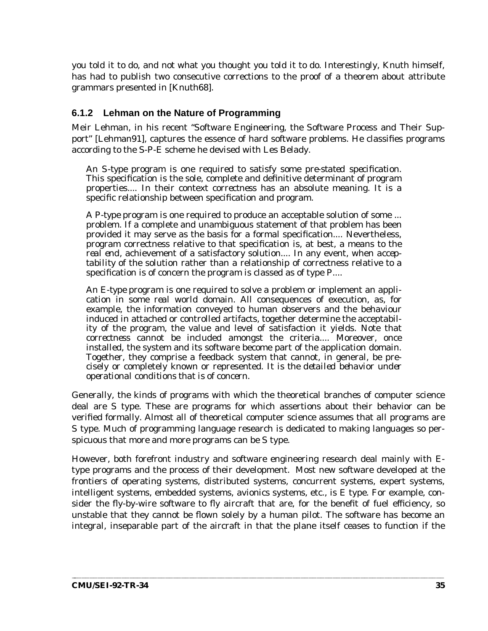you told it to do, and *not* what you thought you told it to do. Interestingly, Knuth himself, has had to publish two consecutive corrections to the proof of a theorem about attribute grammars presented in [Knuth68].

#### **6.1.2 Lehman on the Nature of Programming**

Meir Lehman, in his recent "Software Engineering, the Software Process and Their Support" [Lehman91], captures the essence of hard software problems. He classifies programs according to the S-P-E scheme he devised with Les Belady.

An *S-type* program is one required to satisfy some *pre-stated specification*. This specification is the sole, complete and definitive determinant of program properties.... In their context *correctness* has an absolute meaning. It is a specific relationship between specification and program.

A *P-type* program is one required to produce an acceptable *solution* of some ... problem. If a complete and unambiguous statement of that problem has been provided it may serve as the basis for a formal specification.... Nevertheless, program correctness relative to that specification is, at best, a means to the *real end*, achievement of a satisfactory solution.... In any event, when *acceptability* of the solution rather than a relationship of correctness relative to a specification is of concern the program is classed as of type P....

An *E-type program* is one required to solve a problem or implement an application in some *real world* domain. All consequences of execution, as, for example, the information conveyed to human observers and the behaviour induced in attached or controlled artifacts, together determine the acceptability of the program, the value and level of satisfaction it yields. Note that *correctness* cannot be included amongst the criteria.... Moreover, once installed, the system and its software become part of the application domain. Together, they comprise a feedback system that cannot, in general, be precisely or completely known or represented. *It is the detailed behavior under operational conditions that is of concern.*

Generally, the kinds of programs with which the theoretical branches of computer science deal are S type. These are programs for which assertions about their behavior can be verified formally. Almost all of theoretical computer science assumes that all programs are S type. Much of programming language research is dedicated to making languages so perspicuous that more and more programs can be S type.

However, both forefront industry and software engineering research deal mainly with Etype programs and the process of their development. Most new software developed at the frontiers of operating systems, distributed systems, concurrent systems, expert systems, intelligent systems, embedded systems, avionics systems, etc., is E type. For example, consider the fly-by-wire software to fly aircraft that are, for the benefit of fuel efficiency, so unstable that they cannot be flown solely by a human pilot. The software has become an integral, inseparable part of the aircraft in that the plane itself ceases to function if the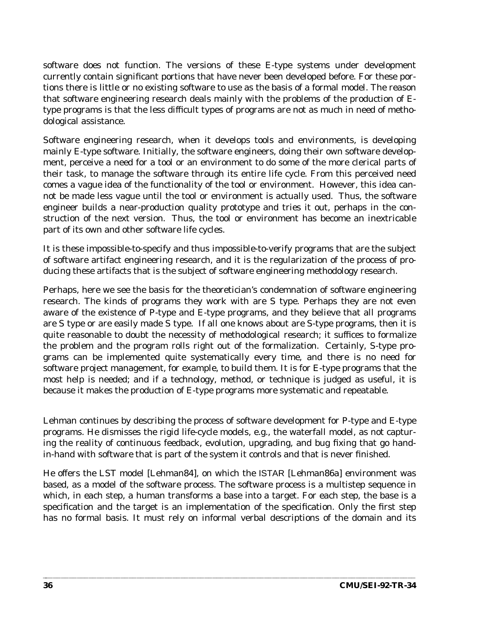software does not function. The versions of these E-type systems under development currently contain significant portions that have never been developed before. For these portions there is little or no existing software to use as the basis of a formal model. The reason that software engineering research deals mainly with the problems of the production of Etype programs is that the less difficult types of programs are not as much in need of methodological assistance.

Software engineering research, when it develops tools and environments, is developing mainly E-type software. Initially, the software engineers, doing their own software development, perceive a need for a tool or an environment to do some of the more clerical parts of their task, to manage the software through its entire life cycle. From this perceived need comes a vague idea of the functionality of the tool or environment. However, this idea cannot be made less vague until the tool or environment is actually used. Thus, the software engineer builds a near-production quality prototype and tries it out, perhaps in the construction of the next version. Thus, the tool or environment has become an inextricable part of its own and other software life cycles.

It is these impossible-to-specify and thus impossible-to-verify programs that are the subject of software artifact engineering research, and it is the regularization of the process of producing these artifacts that is the subject of software engineering methodology research.

Perhaps, here we see the basis for the theoretician's condemnation of software engineering research. The kinds of programs they work with are S type. Perhaps they are not even aware of the existence of P-type and E-type programs, and they believe that all programs are S type or are easily made S type. If all one knows about are S-type programs, then it is quite reasonable to doubt the necessity of methodological research; it suffices to formalize the problem and the program rolls right out of the formalization. Certainly, S-type programs can be implemented quite systematically every time, and there is no need for software project management, for example, to build them. It is for E-type programs that the most help is needed; and if a technology, method, or technique is judged as useful, it is because it makes the production of E-type programs more systematic and repeatable.

Lehman continues by describing the process of software development for P-type and E-type programs. He dismisses the rigid life-cycle models, e.g., the waterfall model, as not capturing the reality of continuous feedback, evolution, upgrading, and bug fixing that go handin-hand with software that is part of the system it controls and that is never finished.

He offers the LST model [Lehman84], on which the ISTAR [Lehman86a] environment was based, as a model of the software process. The software process is a multistep sequence in which, in each step, a human transforms a base into a target. For each step, the base is a specification and the target is an implementation of the specification. Only the first step has no formal basis. It must rely on informal verbal descriptions of the domain and its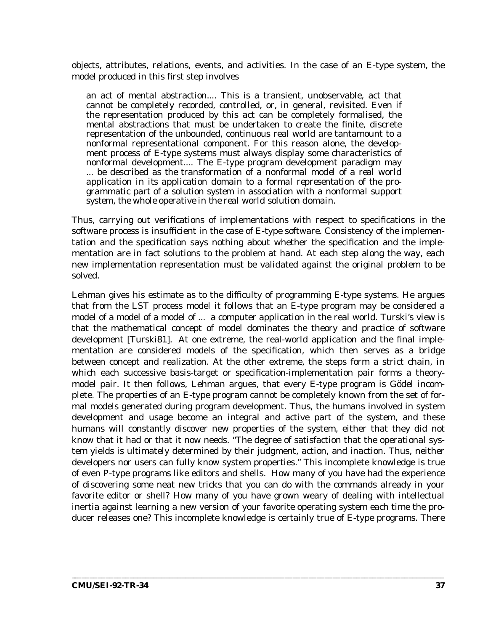objects, attributes, relations, events, and activities. In the case of an E-type system, the model produced in this first step involves

an act of mental abstraction.... This is a transient, unobservable, act that cannot be completely recorded, controlled, or, in general, revisited. Even if the representation produced by this act can be completely formalised, the mental abstractions that must be undertaken to create the finite, discrete representation of the unbounded, continuous real world are tantamount to a nonformal representational component. For this reason alone, the development process of E-type systems must always display some characteristics of nonformal development.... The E-type program development paradigm may ... be described as *the transformation of a nonformal model of a real world application in its application domain to a formal representation of the programmatic part of a solution system in association with a nonformal support system, the whole operative in the real world solution domain.*

Thus, carrying out verifications of implementations with respect to specifications in the software process is insufficient in the case of E-type software. Consistency of the implementation and the specification says nothing about whether the specification and the implementation are in fact solutions to the problem at hand. At each step along the way, each new implementation representation must be validated against the original problem to be solved.

Lehman gives his estimate as to the difficulty of programming E-type systems. He argues that from the LST process model it follows that an E-type program may be considered a model of a model of a model of ... a computer application in the real world. Turski's view is that the mathematical concept of model dominates the theory and practice of software development [Turski81]. At one extreme, the real-world application and the final implementation are considered models of the specification, which then serves as a bridge between concept and realization. At the other extreme, the steps form a strict chain, in which each successive basis-target or specification-implementation pair forms a theorymodel pair. It then follows, Lehman argues, that every E-type program is Gödel incomplete. The properties of an E-type program cannot be completely known from the set of formal models generated during program development. Thus, the humans involved in system development and usage become an integral and active part of the system, and these humans will constantly discover new properties of the system, either that they did not know that it had or that it now needs. "The degree of satisfaction that the operational system yields is ultimately determined by their judgment, action, and inaction. Thus, neither developers nor users can fully know system properties." This incomplete knowledge is true of even P-type programs like editors and shells. How many of you have had the experience of discovering some neat new tricks that you can do with the commands already in your favorite editor or shell? How many of you have grown weary of dealing with intellectual inertia against learning a new version of your favorite operating system each time the producer releases one? This incomplete knowledge is certainly true of E-type programs. There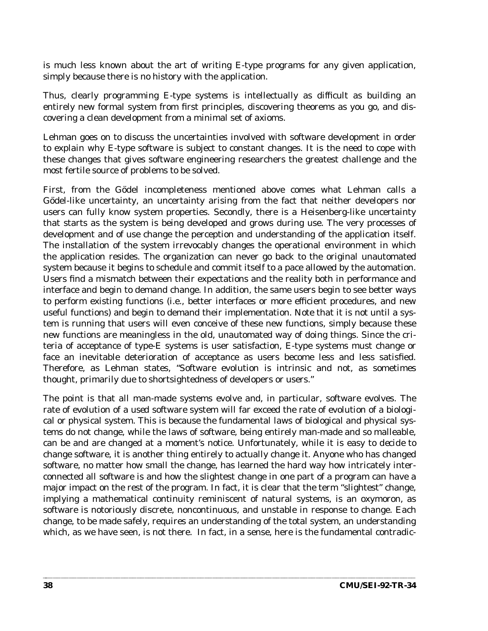is much less known about the art of writing E-type programs for any given application, simply because there is *no* history with the application.

Thus, clearly programming E-type systems is intellectually as difficult as building an entirely new formal system from first principles, discovering theorems as you go, and discovering a clean development from a minimal set of axioms.

Lehman goes on to discuss the uncertainties involved with software development in order to explain why E-type software is subject to constant changes. It is the need to cope with these changes that gives software engineering researchers the greatest challenge and the most fertile source of problems to be solved.

First, from the Gödel incompleteness mentioned above comes what Lehman calls a Gödel-like uncertainty, an uncertainty arising from the fact that neither developers nor users can fully know system properties. Secondly, there is a Heisenberg-like uncertainty that starts as the system is being developed and grows during use. The very processes of development and of use change the perception and understanding of the application itself. The installation of the system irrevocably changes the operational environment in which the application resides. The organization can never go back to the original unautomated system because it begins to schedule and commit itself to a pace allowed by the automation. Users find a mismatch between their expectations and the reality both in performance and interface and begin to demand change. In addition, the same users begin to see better ways to perform existing functions (i.e., better interfaces or more efficient procedures, and new useful functions) and begin to demand their implementation. Note that it is not until a system is running that users will even conceive of these new functions, simply because these new functions are meaningless in the old, unautomated way of doing things. Since the criteria of acceptance of type-E systems is user satisfaction, E-type systems must change or face an inevitable deterioration of acceptance as users become less and less satisfied. Therefore, as Lehman states, "Software evolution is intrinsic and not, as sometimes thought, primarily due to shortsightedness of developers or users."

The point is that all man-made systems evolve and, in particular, software evolves. The rate of evolution of a *used* software system will far exceed the rate of evolution of a biological or physical system. This is because the fundamental laws of biological and physical systems do not change, while the laws of software, being entirely man-made and so malleable, can be and are changed at a moment's notice. Unfortunately, while it is easy to *decide* to change software, it is another thing entirely to actually change it. Anyone who has changed software, no matter how small the change, has learned the hard way how intricately interconnected all software is and how the slightest change in one part of a program can have a major impact on the rest of the program. In fact, it is clear that the term "slightest" change, implying a mathematical continuity reminiscent of natural systems, is an oxymoron, as software is notoriously discrete, noncontinuous, and unstable in response to change. Each change, to be made safely, requires an understanding of the total system, an understanding which, as we have seen, is not there. In fact, in a sense, here is the fundamental contradic-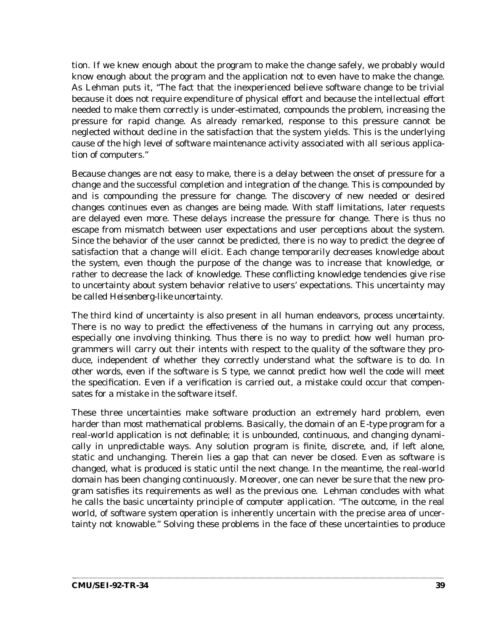tion. If we knew enough about the program to make the change safely, we probably would know enough about the program and the application not to even have to make the change. As Lehman puts it, "The fact that the inexperienced believe software change to be trivial because it does not require expenditure of physical effort and because the intellectual effort needed to make them correctly is under-estimated, compounds the problem, increasing the pressure for rapid change. As already remarked, response to this pressure cannot be neglected without decline in the satisfaction that the system yields. This is the underlying cause of the high level of software maintenance activity associated with all serious application of computers."

Because changes are not easy to make, there is a delay between the onset of pressure for a change and the successful completion and integration of the change. This is compounded by and is compounding the pressure for change. The discovery of new needed or desired changes continues even as changes are being made. With staff limitations, later requests are delayed even more. These delays increase the pressure for change. There is thus no escape from mismatch between user expectations and user perceptions about the system. Since the behavior of the user cannot be predicted, there is no way to predict the degree of satisfaction that a change will elicit. Each change temporarily decreases knowledge about the system, even though the purpose of the change was to increase that knowledge, or rather to decrease the lack of knowledge. These conflicting knowledge tendencies give rise to uncertainty about system behavior relative to users' expectations. This uncertainty may be called *Heisenberg-like uncertainty*.

The third kind of uncertainty is also present in all human endeavors, *process uncertainty*. There is no way to predict the effectiveness of the humans in carrying out any process, especially one involving thinking. Thus there is no way to predict how well human programmers will carry out their intents with respect to the quality of the software they produce, independent of whether they correctly understand what the software is to do. In other words, even if the software is S type, we cannot predict how well the code will meet the specification. Even if a verification is carried out, a mistake could occur that compensates for a mistake in the software itself.

These three uncertainties make software production an extremely hard problem, even harder than most mathematical problems. Basically, the domain of an E-type program for a real-world application is not definable; it is unbounded, continuous, and changing dynamically in unpredictable ways. Any solution program is finite, discrete, and, if left alone, static and unchanging. Therein lies a gap that can never be closed. Even as software is changed, what is produced is static until the next change. In the meantime, the real-world domain has been changing continuously. Moreover, one can never be sure that the new program satisfies its requirements as well as the previous one. Lehman concludes with what he calls the basic *uncertainty principle of computer application*. "The outcome, in the real world, of software system operation is inherently uncertain with the precise area of uncertainty not knowable." Solving these problems in the face of these uncertainties to produce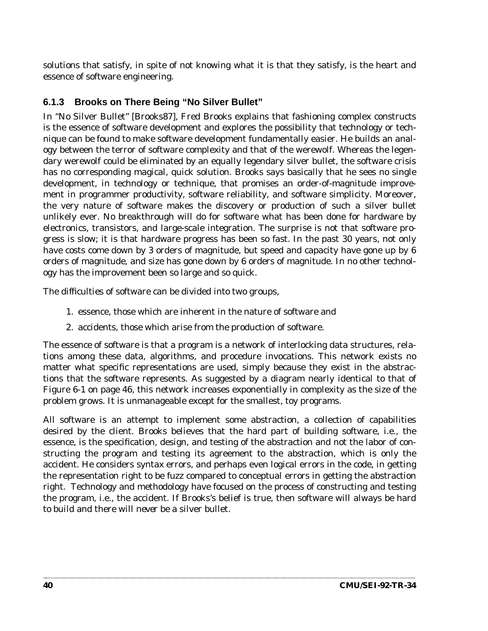solutions that satisfy, in spite of not knowing what it is that they satisfy, is the heart and essence of software engineering.

#### **6.1.3 Brooks on There Being "No Silver Bullet"**

In "No Silver Bullet" [Brooks87], Fred Brooks explains that fashioning complex constructs is the essence of software development and explores the possibility that technology or technique can be found to make software development fundamentally easier. He builds an analogy between the terror of software complexity and that of the werewolf. Whereas the legendary werewolf could be eliminated by an equally legendary silver bullet, the software crisis has no corresponding magical, quick solution. Brooks says basically that he sees no single development, in technology or technique, that promises an order-of-magnitude improvement in programmer productivity, software reliability, and software simplicity. Moreover, the very nature of software makes the discovery or production of such a silver bullet unlikely ever. No breakthrough will do for software what has been done for hardware by electronics, transistors, and large-scale integration. The surprise is not that software progress is slow; it is that hardware progress has been so fast. In the past 30 years, not only have costs come down by 3 orders of magnitude, but speed and capacity have gone up by 6 orders of magnitude, and size has gone down by 6 orders of magnitude. In no other technology has the improvement been so large and so quick.

The difficulties of software can be divided into two groups,

- 1. essence, those which are inherent in the nature of software and
- 2. accidents, those which arise from the production of software.

The essence of software is that a program is a network of interlocking data structures, relations among these data, algorithms, and procedure invocations. This network exists no matter what specific representations are used, simply because they exist in the abstractions that the software represents. As suggested by a diagram nearly identical to that of Figure 6-1 on page 46, this network increases exponentially in complexity as the size of the problem grows. It is unmanageable except for the smallest, toy programs.

All software is an attempt to implement some abstraction, a collection of capabilities desired by the client. Brooks believes that the hard part of building software, i.e., the essence, is the specification, design, and testing of the abstraction and not the labor of constructing the program and testing its agreement to the abstraction, which is only the accident. He considers syntax errors, and perhaps even logical errors in the code, in getting the representation right to be fuzz compared to conceptual errors in getting the abstraction right. Technology and methodology have focused on the process of constructing and testing the program, i.e., the accident. If Brooks's belief is true, then software will always be hard to build and there will *never* be a silver bullet.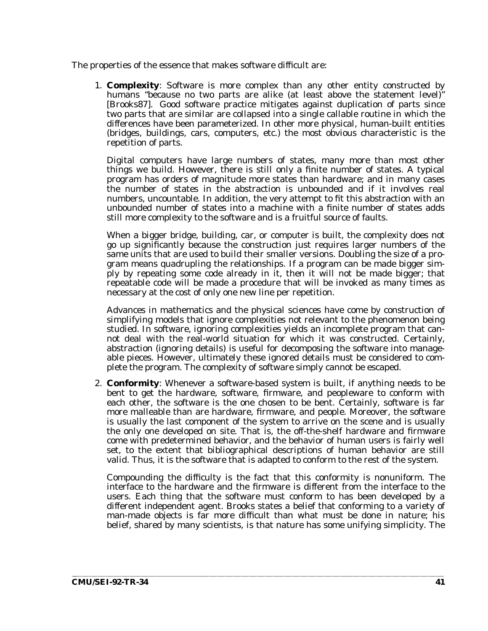The properties of the essence that makes software difficult are:

1. **Complexity**: Software is more complex than any other entity constructed by humans "because no two parts are alike (at least above the statement level)" [Brooks87]. Good software practice mitigates against duplication of parts since two parts that are similar are collapsed into a single callable routine in which the differences have been parameterized. In other more physical, human-built entities (bridges, buildings, cars, computers, etc.) the most obvious characteristic is the repetition of parts.

Digital computers have large numbers of states, many more than most other things we build. However, there is still only a finite number of states. A typical program has orders of magnitude more states than hardware; and in many cases the number of states in the abstraction is unbounded and if it involves real numbers, uncountable. In addition, the very attempt to fit this abstraction with an unbounded number of states into a machine with a finite number of states adds still more complexity to the software and is a fruitful source of faults.

When a bigger bridge, building, car, or computer is built, the complexity does not go up significantly because the construction just requires larger numbers of the same units that are used to build their smaller versions. Doubling the size of a program means quadrupling the relationships. If a program can be made bigger simply by repeating some code already in it, then it will not be made bigger; that repeatable code will be made a procedure that will be invoked as many times as necessary at the cost of only one new line per repetition.

Advances in mathematics and the physical sciences have come by construction of simplifying models that ignore complexities not relevant to the phenomenon being studied. In software, ignoring complexities yields an incomplete program that cannot deal with the real-world situation for which it was constructed. Certainly, abstraction (ignoring details) is useful for decomposing the software into manageable pieces. However, ultimately these ignored details must be considered to complete the program. The complexity of software simply cannot be escaped.

2. **Conformity**: Whenever a software-based system is built, if anything needs to be bent to get the hardware, software, firmware, and peopleware to conform with each other, the software is the one chosen to be bent. Certainly, software is far more malleable than are hardware, firmware, and people. Moreover, the software is usually the last component of the system to arrive on the scene and is usually the only one developed on site. That is, the off-the-shelf hardware and firmware come with predetermined behavior, and the behavior of human users is fairly well set, to the extent that bibliographical descriptions of human behavior are still valid. Thus, it is the software that is adapted to conform to the rest of the system.

Compounding the difficulty is the fact that this conformity is nonuniform. The interface to the hardware and the firmware is different from the interface to the users. Each thing that the software must conform to has been developed by a different independent agent. Brooks states a belief that conforming to a variety of man-made objects is far more difficult than what must be done in nature; his belief, shared by many scientists, is that nature has some unifying simplicity. The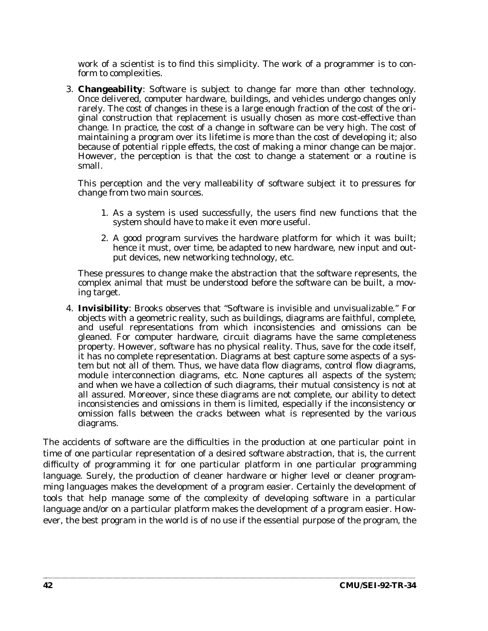work of a scientist is to find this simplicity. The work of a programmer is to conform to complexities.

3. **Changeability**: Software is subject to change far more than other technology. Once delivered, computer hardware, buildings, and vehicles undergo changes only rarely. The cost of changes in these is a large enough fraction of the cost of the original construction that replacement is usually chosen as more cost-effective than change. In practice, the cost of a change in software can be very high. The cost of maintaining a program over its lifetime is more than the cost of developing it; also because of potential ripple effects, the cost of making a minor change can be major. However, the perception is that the cost to change a statement or a routine is small.

This perception and the very malleability of software subject it to pressures for change from two main sources.

- 1. As a system is used successfully, the users find new functions that the system should have to make it even more useful.
- 2. A good program survives the hardware platform for which it was built; hence it must, over time, be adapted to new hardware, new input and output devices, new networking technology, etc.

These pressures to change make the abstraction that the software represents, the complex animal that must be understood before the software can be built, a moving target.

4. **Invisibility**: Brooks observes that "Software is invisible and unvisualizable." For objects with a geometric reality, such as buildings, diagrams are faithful, complete, and useful representations from which inconsistencies and omissions can be gleaned. For computer hardware, circuit diagrams have the same completeness property. However, software has no physical reality. Thus, save for the code itself, it has no complete representation. Diagrams at best capture some aspects of a system but not all of them. Thus, we have data flow diagrams, control flow diagrams, module interconnection diagrams, etc. None captures all aspects of the system; and when we have a collection of such diagrams, their mutual consistency is not at all assured. Moreover, since these diagrams are not complete, our ability to detect inconsistencies and omissions in them is limited, especially if the inconsistency or omission falls between the cracks between what is represented by the various diagrams.

The accidents of software are the difficulties in the production at one particular point in time of one particular representation of a desired software abstraction, that is, the current difficulty of programming it for one particular platform in one particular programming language. Surely, the production of cleaner hardware or higher level or cleaner programming languages makes the development of a program easier. Certainly the development of tools that help manage some of the complexity of developing software in a particular language and/or on a particular platform makes the development of a program easier. However, the best program in the world is of no use if the essential purpose of the program, the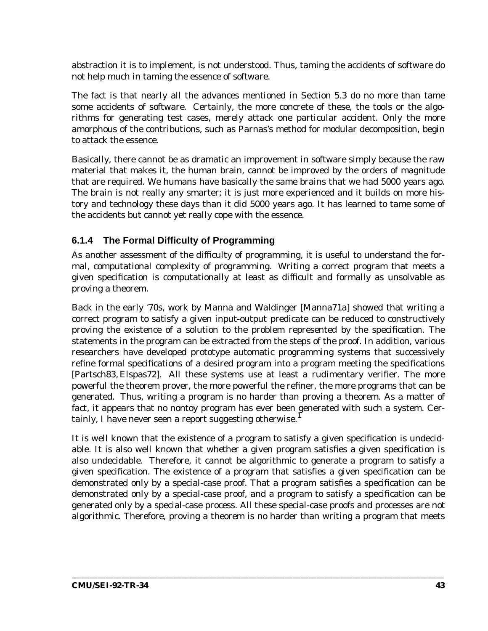abstraction it is to implement, is not understood. Thus, taming the accidents of software do not help much in taming the essence of software.

The fact is that nearly all the advances mentioned in Section 5.3 do no more than tame some accidents of software. Certainly, the more concrete of these, the tools or the algorithms for generating test cases, merely attack one particular accident. Only the more amorphous of the contributions, such as Parnas's method for modular decomposition, begin to attack the essence.

Basically, there cannot be as dramatic an improvement in software simply because the raw material that makes it, the human brain, cannot be improved by the orders of magnitude that are required. We humans have basically the same brains that we had 5000 years ago. The brain is not really any smarter; it is just more experienced and it builds on more history and technology these days than it did 5000 years ago. It has learned to tame some of the accidents but cannot yet really cope with the essence.

#### **6.1.4 The Formal Difficulty of Programming**

As another assessment of the difficulty of programming, it is useful to understand the formal, computational complexity of programming. Writing a correct program that meets a given specification is computationally at least as difficult and formally as unsolvable as proving a theorem.

Back in the early '70s, work by Manna and Waldinger [Manna71a] showed that writing a correct program to satisfy a given input-output predicate can be reduced to constructively proving the existence of a solution to the problem represented by the specification. The statements in the program can be extracted from the steps of the proof. In addition, various researchers have developed prototype automatic programming systems that successively refine formal specifications of a desired program into a program meeting the specifications [Partsch83, Elspas72]. All these systems use at least a rudimentary verifier. The more powerful the theorem prover, the more powerful the refiner, the more programs that can be generated. Thus, writing a program is no harder than proving a theorem. As a matter of fact, it appears that no nontoy program has ever been generated with such a system. Certainly, I have never seen a report suggesting otherwise.

It is well known that the existence of a program to satisfy a given specification is undecidable. It is also well known that *whether* a given program satisfies a given specification is also undecidable. Therefore, it cannot be algorithmic to generate a program to satisfy a given specification. The existence of a program that satisfies a given specification can be demonstrated only by a special-case proof. That a program satisfies a specification can be demonstrated only by a special-case proof, and a program to satisfy a specification can be generated only by a special-case process. All these special-case proofs and processes are *not* algorithmic. Therefore, proving a theorem is no harder than writing a program that meets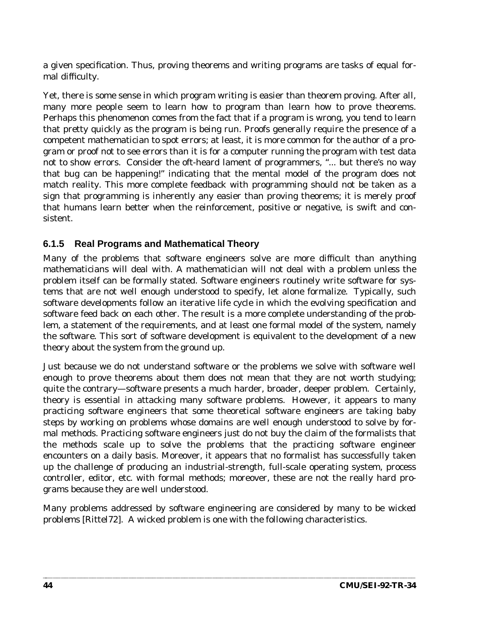a given specification. Thus, proving theorems and writing programs are tasks of equal formal difficulty.

Yet, there is some sense in which program writing is easier than theorem proving. After all, many more people seem to learn how to program than learn how to prove theorems. Perhaps this phenomenon comes from the fact that if a program is wrong, you tend to learn that pretty quickly as the program is being run. Proofs generally require the presence of a competent mathematician to spot errors; at least, it is more common for the author of a program or proof not to see errors than it is for a computer running the program with test data not to show errors. Consider the oft-heard lament of programmers, "... but there's no way that bug can be happening!" indicating that the mental model of the program does not match reality. This more complete feedback with programming should not be taken as a sign that programming is inherently any easier than proving theorems; it is merely proof that humans learn better when the reinforcement, positive or negative, is swift and consistent.

#### **6.1.5 Real Programs and Mathematical Theory**

Many of the problems that software engineers solve are more difficult than anything mathematicians will deal with. A mathematician will not deal with a problem *unless* the problem itself can be formally stated. Software engineers routinely write software for systems that are not well enough understood to specify, let alone formalize. Typically, such software developments follow an iterative life cycle in which the evolving specification and software feed back on each other. The result is a more complete understanding of the problem, a statement of the requirements, and at least one formal model of the system, namely the software. This sort of software development is equivalent to the development of a new theory about the system from the ground up.

Just because we do not understand software or the problems we solve with software well enough to prove theorems about them does not mean that they are not worth studying; quite the contrary—software presents a much harder, broader, deeper problem. Certainly, theory is essential in attacking many software problems. However, it appears to many practicing software engineers that some theoretical software engineers are taking baby steps by working on problems whose domains are well enough understood to solve by formal methods. Practicing software engineers just do not buy the claim of the formalists that the methods scale up to solve the problems that the practicing software engineer encounters on a daily basis. Moreover, it appears that no formalist has successfully taken up the challenge of producing an industrial-strength, full-scale operating system, process controller, editor, etc. with formal methods; moreover, these are not the really hard programs because they are well understood.

Many problems addressed by software engineering are considered by many to be *wicked problems* [Rittel72]. A wicked problem is one with the following characteristics.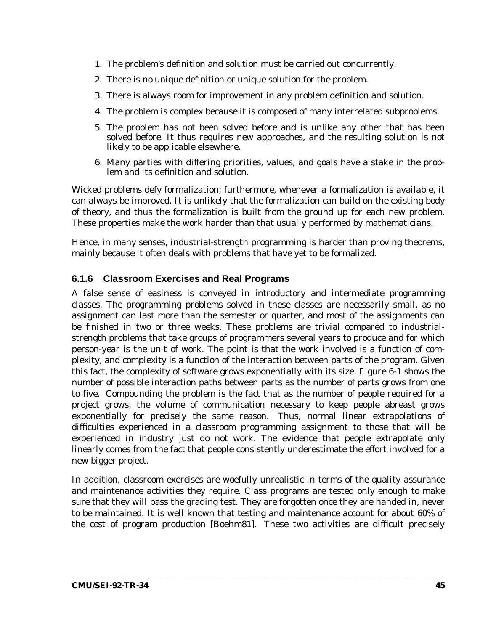- 1. The problem's definition and solution must be carried out concurrently.
- 2. There is no unique definition or unique solution for the problem.
- 3. There is always room for improvement in any problem definition and solution.
- 4. The problem is complex because it is composed of many interrelated subproblems.
- 5. The problem has not been solved before and is unlike any other that has been solved before. It thus requires new approaches, and the resulting solution is not likely to be applicable elsewhere.
- 6. Many parties with differing priorities, values, and goals have a stake in the problem and its definition and solution.

Wicked problems defy formalization; furthermore, whenever a formalization is available, it can always be improved. It is unlikely that the formalization can build on the existing body of theory, and thus the formalization is built from the ground up for each new problem. These properties make the work harder than that usually performed by mathematicians.

Hence, in many senses, industrial-strength programming is harder than proving theorems, mainly because it often deals with problems that have yet to be formalized.

#### **6.1.6 Classroom Exercises and Real Programs**

A false sense of easiness is conveyed in introductory and intermediate programming classes. The programming problems solved in these classes are necessarily small, as no assignment can last more than the semester or quarter, and most of the assignments can be finished in two or three weeks. These problems are trivial compared to industrialstrength problems that take groups of programmers several years to produce and for which person-year is the unit of work. The point is that the work involved is a function of complexity, and complexity is a function of the interaction between parts of the program. Given this fact, the complexity of software grows exponentially with its size. Figure 6-1 shows the number of possible interaction paths between parts as the number of parts grows from one to five. Compounding the problem is the fact that as the number of people required for a project grows, the volume of communication necessary to keep people abreast grows exponentially for precisely the same reason. Thus, normal linear extrapolations of difficulties experienced in a classroom programming assignment to those that will be experienced in industry just do not work. The evidence that people extrapolate only linearly comes from the fact that people consistently underestimate the effort involved for a new bigger project.

In addition, classroom exercises are woefully unrealistic in terms of the quality assurance and maintenance activities they require. Class programs are tested only enough to make sure that they will pass the grading test. They are forgotten once they are handed in, never to be maintained. It is well known that testing and maintenance account for about 60% of the cost of program production [Boehm81]. These two activities are difficult precisely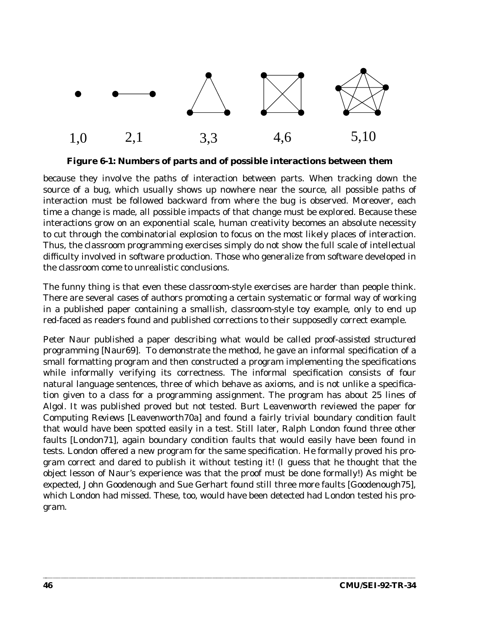

**Figure 6-1: Numbers of parts and of possible interactions between them**

because they involve the paths of interaction between parts. When tracking down the source of a bug, which usually shows up nowhere near the source, all possible paths of interaction must be followed backward from where the bug is observed. Moreover, each time a change is made, all possible impacts of that change must be explored. Because these interactions grow on an exponential scale, human creativity becomes an absolute necessity to cut through the combinatorial explosion to focus on the most likely places of interaction. Thus, the classroom programming exercises simply do not show the full scale of intellectual difficulty involved in software production. Those who generalize from software developed in the classroom come to unrealistic conclusions.

The funny thing is that even these classroom-style exercises are harder than people think. There are several cases of authors promoting a certain systematic or formal way of working in a published paper containing a smallish, classroom-style toy example, only to end up red-faced as readers found and published corrections to their supposedly correct example.

Peter Naur published a paper describing what would be called *proof-assisted structured programming* [Naur69]. To demonstrate the method, he gave an informal specification of a small formatting program and then constructed a program implementing the specifications while informally verifying its correctness. The informal specification consists of four natural language sentences, three of which behave as axioms, and is not unlike a specification given to a class for a programming assignment. The program has about 25 lines of Algol. It was published proved but not tested. Burt Leavenworth reviewed the paper for *Computing Reviews* [Leavenworth70a] and found a fairly trivial boundary condition fault that would have been spotted easily in a test. Still later, Ralph London found three other faults [London71], again boundary condition faults that would easily have been found in tests. London offered a new program for the same specification. He *formally* proved his program correct and dared to publish it without testing it! (I guess that he thought that the object lesson of Naur's experience was that the proof must be done formally!) As might be expected, John Goodenough and Sue Gerhart found still three more faults [Goodenough75], which London had missed. These, too, would have been detected had London tested his program.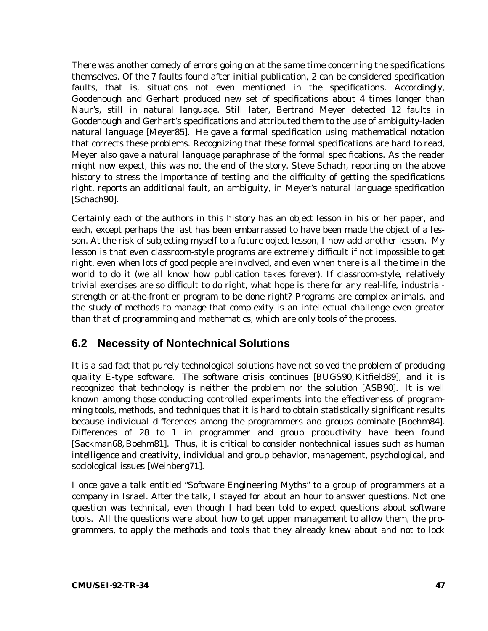There was another comedy of errors going on at the same time concerning the specifications themselves. Of the 7 faults found after initial publication, 2 can be considered specification faults, that is, situations not even mentioned in the specifications. Accordingly, Goodenough and Gerhart produced new set of specifications about 4 times longer than Naur's, still in natural language. Still later, Bertrand Meyer detected 12 faults in Goodenough and Gerhart's specifications and attributed them to the use of ambiguity-laden natural language [Meyer85]. He gave a formal specification using mathematical notation that corrects these problems. Recognizing that these formal specifications are hard to read, Meyer also gave a natural language paraphrase of the formal specifications. As the reader might now expect, this was not the end of the story. Steve Schach, reporting on the above history to stress the importance of testing and the difficulty of getting the specifications right, reports an additional fault, an ambiguity, in Meyer's natural language specification [Schach90].

Certainly each of the authors in this history has an object lesson in his or her paper, and each, except perhaps the last has been embarrassed to have been made the object of a lesson. At the risk of subjecting myself to a future object lesson, I now add another lesson. My lesson is that even classroom-style programs are extremely difficult if not impossible to get right, even when lots of good people are involved, and even when there is all the time in the world to do it (we all know how publication takes *forever*). If classroom-style, relatively trivial exercises are so difficult to do right, what hope is there for any real-life, industrialstrength or at-the-frontier program to be done right? Programs are complex animals, and the study of methods to manage that complexity is an intellectual challenge even greater than that of programming and mathematics, which are only tools of the process.

### **6.2 Necessity of Nontechnical Solutions**

It is a sad fact that purely technological solutions have not solved the problem of producing quality E-type software. The software crisis continues [BUGS90, Kitfield89], and it is recognized that technology is neither the problem nor the solution [ASB90]. It is well known among those conducting controlled experiments into the effectiveness of programming tools, methods, and techniques that it is hard to obtain statistically significant results because individual differences among the programmers and groups dominate [Boehm84]. Differences of 28 to 1 in programmer and group productivity have been found [Sackman68, Boehm81]. Thus, it is critical to consider nontechnical issues such as human intelligence and creativity, individual and group behavior, management, psychological, and sociological issues [Weinberg71].

I once gave a talk entitled "Software Engineering Myths" to a group of programmers at a company in Israel. After the talk, I stayed for about an hour to answer questions. Not one question was technical, even though I had been told to expect questions about software tools. All the questions were about how to get upper management to allow them, the programmers, to apply the methods and tools that they already knew about and not to lock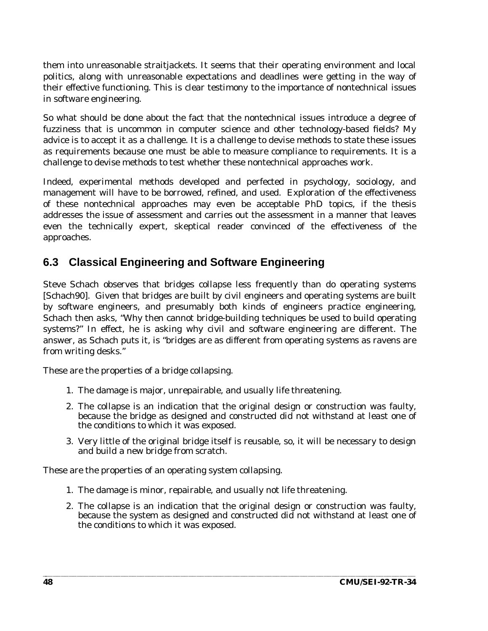them into unreasonable straitjackets. It seems that their operating environment and local politics, along with unreasonable expectations and deadlines were getting in the way of their effective functioning. This is clear testimony to the importance of nontechnical issues in software engineering.

So what should be done about the fact that the nontechnical issues introduce a degree of fuzziness that is uncommon in computer science and other technology-based fields? My advice is to accept it as a challenge. It is a challenge to devise methods to state these issues as requirements because one must be able to measure compliance to requirements. It is a challenge to devise methods to test whether these nontechnical approaches work.

Indeed, experimental methods developed and perfected in psychology, sociology, and management will have to be borrowed, refined, and used. Exploration of the effectiveness of these nontechnical approaches may even be acceptable PhD topics, *if* the thesis addresses the issue of assessment and carries out the assessment in a manner that leaves even the technically expert, skeptical reader convinced of the effectiveness of the approaches.

### **6.3 Classical Engineering and Software Engineering**

Steve Schach observes that bridges collapse less frequently than do operating systems [Schach90]. Given that bridges are built by civil engineers and operating systems are built by software engineers, and presumably both kinds of engineers practice engineering, Schach then asks, "Why then cannot bridge-building techniques be used to build operating systems?" In effect, he is asking why civil and software engineering are different. The answer, as Schach puts it, is "bridges are as different from operating systems as ravens are from writing desks."

These are the properties of a bridge collapsing.

- 1. The damage is major, unrepairable, and usually life threatening.
- 2. The collapse is an indication that the original design or construction was faulty, because the bridge as designed and constructed did not withstand at least one of the conditions to which it was exposed.
- 3. Very little of the original bridge itself is reusable, so, it will be necessary to design and build a new bridge from scratch.

These are the properties of an operating system collapsing.

- 1. The damage is minor, repairable, and usually not life threatening.
- 2. The collapse is an indication that the original design or construction was faulty, because the system as designed and constructed did not withstand at least one of the conditions to which it was exposed.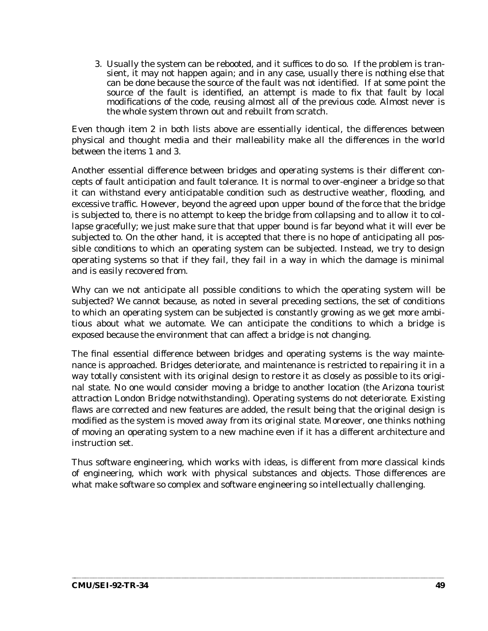3. Usually the system can be rebooted, and it suffices to do so. If the problem is transient, it may not happen again; and in any case, usually there is nothing else that can be done because the source of the fault was not identified. If at some point the source of the fault is identified, an attempt is made to fix that fault by local modifications of the code, reusing almost all of the previous code. Almost never is the whole system thrown out and rebuilt from scratch.

Even though item 2 in both lists above are essentially identical, the differences between physical and thought media and their malleability make all the differences in the world between the items 1 and 3.

Another essential difference between bridges and operating systems is their different concepts of fault anticipation and fault tolerance. It is normal to over-engineer a bridge so that it can withstand every anticipatable condition such as destructive weather, flooding, and excessive traffic. However, beyond the agreed upon upper bound of the force that the bridge is subjected to, there is no attempt to keep the bridge from collapsing and to allow it to collapse gracefully; we just make sure that that upper bound is far beyond what it will ever be subjected to. On the other hand, it is accepted that there is no hope of anticipating all possible conditions to which an operating system can be subjected. Instead, we try to design operating systems so that if they fail, they fail in a way in which the damage is minimal and is easily recovered from.

Why can we not anticipate all possible conditions to which the operating system will be subjected? We cannot because, as noted in several preceding sections, the set of conditions to which an operating system can be subjected is constantly growing as we get more ambitious about what we automate. We can anticipate the conditions to which a bridge is exposed because the environment that can affect a bridge is not changing.

The final essential difference between bridges and operating systems is the way maintenance is approached. Bridges deteriorate, and maintenance is restricted to repairing it in a way totally consistent with its original design to restore it as closely as possible to its original state. No one would consider moving a bridge to another location (the Arizona tourist attraction London Bridge notwithstanding). Operating systems do not deteriorate. Existing flaws are corrected and new features are added, the result being that the original design is modified as the system is moved away from its original state. Moreover, one thinks nothing of moving an operating system to a new machine even if it has a different architecture and instruction set.

Thus software engineering, which works with ideas, is different from more classical kinds of engineering, which work with physical substances and objects. Those differences are what make software so complex and software engineering so intellectually challenging.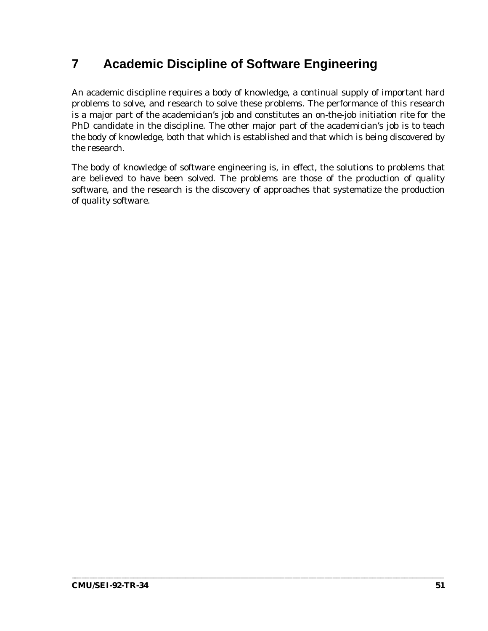## **7 Academic Discipline of Software Engineering**

An academic discipline requires a body of knowledge, a continual supply of important hard problems to solve, and research to solve these problems. The performance of this research is a major part of the academician's job and constitutes an on-the-job initiation rite for the PhD candidate in the discipline. The other major part of the academician's job is to teach the body of knowledge, both that which is established and that which is being discovered by the research.

The body of knowledge of software engineering is, in effect, the solutions to problems that are believed to have been solved. The problems are those of the production of quality software, and the research is the discovery of approaches that systematize the production of quality software.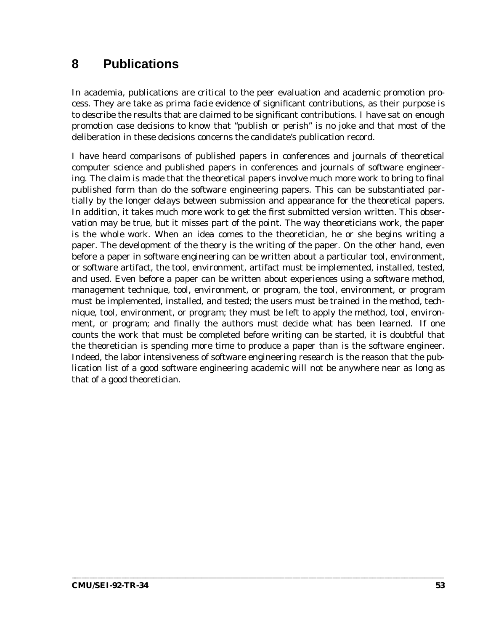### **8 Publications**

In academia, publications are critical to the peer evaluation and academic promotion process. They are take as *prima facie* evidence of significant contributions, as their purpose is to describe the results that are claimed to be significant contributions. I have sat on enough promotion case decisions to know that "publish or perish" is no joke and that most of the deliberation in these decisions concerns the candidate's publication record.

I have heard comparisons of published papers in conferences and journals of theoretical computer science and published papers in conferences and journals of software engineering. The claim is made that the theoretical papers involve much more work to bring to final published form than do the software engineering papers. This can be substantiated partially by the longer delays between submission and appearance for the theoretical papers. In addition, it takes much more work to get the first submitted version written. This observation may be true, but it misses part of the point. The way theoreticians work, the paper is the *whole* work. When an idea comes to the theoretician, he or she begins writing a paper. The development of the theory is the writing of the paper. On the other hand, even before a paper in software engineering can be written about a particular tool, environment, or software artifact, the tool, environment, artifact must be implemented, installed, tested, and used. Even before a paper can be written about experiences using a software method, management technique, tool, environment, or program, the tool, environment, or program must be implemented, installed, and tested; the users must be trained in the method, technique, tool, environment, or program; they must be left to apply the method, tool, environment, or program; and finally the authors must decide what has been learned. If one counts the work that must be completed before writing can be started, it is doubtful that the theoretician is spending more time to produce a paper than is the software engineer. Indeed, the labor intensiveness of software engineering research is the reason that the publication list of a good software engineering academic will not be anywhere near as long as that of a good theoretician.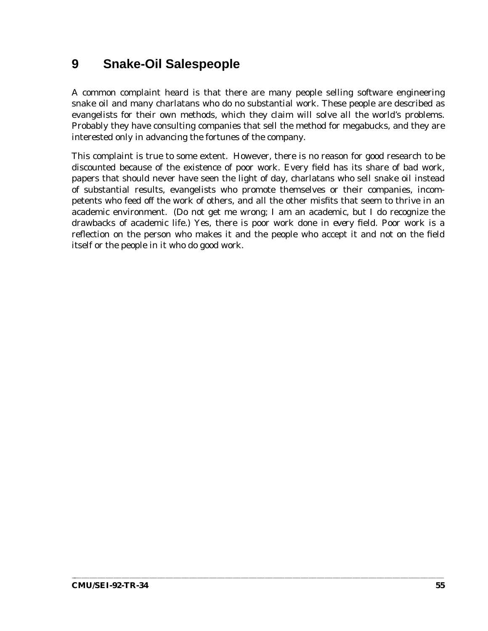## **9 Snake-Oil Salespeople**

A common complaint heard is that there are many people selling software engineering snake oil and many charlatans who do no substantial work. These people are described as evangelists for their own methods, which they claim will solve *all* the world's problems. Probably they have consulting companies that sell the method for megabucks, and they are interested only in advancing the fortunes of the company.

This complaint is true to some extent. However, there is no reason for good research to be discounted because of the existence of poor work. Every field has its share of bad work, papers that should never have seen the light of day, charlatans who sell snake oil instead of substantial results, evangelists who promote themselves or their companies, incompetents who feed off the work of others, and all the other misfits that seem to thrive in an academic environment. (Do not get me wrong; I *am* an academic, but I do recognize the drawbacks of academic life.) Yes, there is poor work done in *every* field. Poor work is a reflection on the person who makes it and the people who accept it and not on the field itself or the people in it who do good work.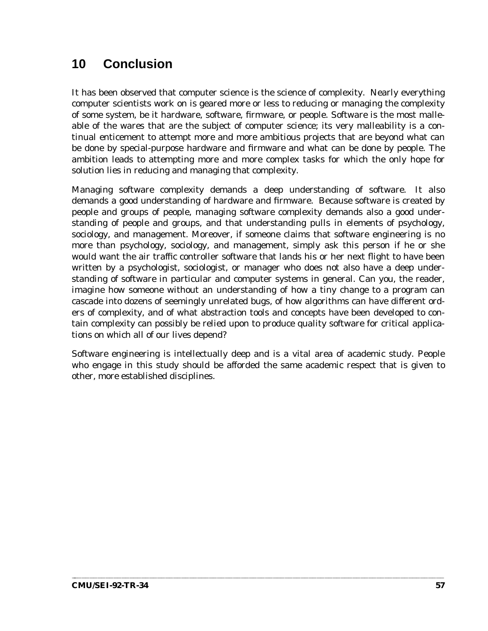## **10 Conclusion**

It has been observed that computer science is the science of complexity. Nearly everything computer scientists work on is geared more or less to reducing or managing the complexity of some system, be it hardware, software, firmware, or people. Software is the most malleable of the wares that are the subject of computer science; its very malleability is a continual enticement to attempt more and more ambitious projects that are beyond what can be done by special-purpose hardware and firmware and what can be done by people. The ambition leads to attempting more and more complex tasks for which the only hope for solution lies in reducing and managing that complexity.

Managing software complexity demands a deep understanding of software. It also demands a good understanding of hardware and firmware. Because software is created by people and groups of people, managing software complexity demands also a good understanding of people and groups, and that understanding pulls in elements of psychology, sociology, and management. Moreover, if someone claims that software engineering is no more than psychology, sociology, and management, simply ask this person if he or she would want the air traffic controller software that lands his or her next flight to have been written by a psychologist, sociologist, or manager who does not also have a deep understanding of software in particular and computer systems in general. Can you, the reader, imagine how someone without an understanding of how a tiny change to a program can cascade into dozens of seemingly unrelated bugs, of how algorithms can have different orders of complexity, and of what abstraction tools and concepts have been developed to contain complexity can possibly be relied upon to produce quality software for critical applications on which all of our lives depend?

Software engineering is intellectually deep and is a vital area of academic study. People who engage in this study should be afforded the same academic respect that is given to other, more established disciplines.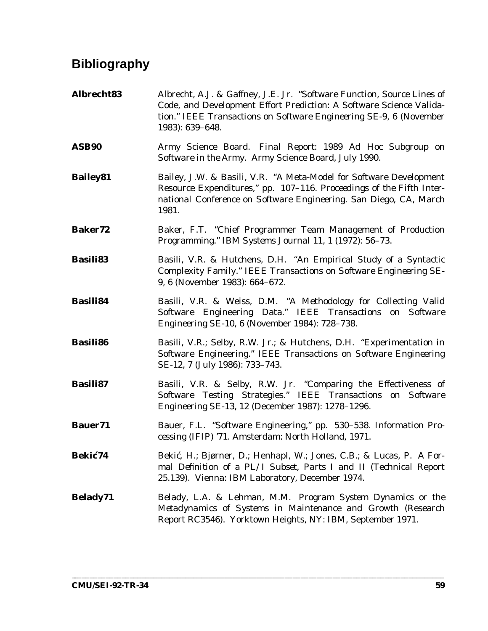# **Bibliography**

| <b>Albrecht83</b> | Albrecht, A.J. & Gaffney, J.E. Jr. "Software Function, Source Lines of<br>Code, and Development Effort Prediction: A Software Science Valida-<br>tion." IEEE Transactions on Software Engineering SE-9, 6 (November<br>1983): 639-648. |
|-------------------|----------------------------------------------------------------------------------------------------------------------------------------------------------------------------------------------------------------------------------------|
| <b>ASB90</b>      | Army Science Board. Final Report: 1989 Ad Hoc Subgroup on<br>Software in the Army. Army Science Board, July 1990.                                                                                                                      |
| <b>Bailey81</b>   | Bailey, J.W. & Basili, V.R. "A Meta-Model for Software Development<br>Resource Expenditures," pp. 107-116. Proceedings of the Fifth Inter-<br>national Conference on Software Engineering. San Diego, CA, March<br>1981.               |
| <b>Baker72</b>    | Baker, F.T. "Chief Programmer Team Management of Production<br>Programming." IBM Systems Journal 11, 1 (1972): 56-73.                                                                                                                  |
| <b>Basili83</b>   | Basili, V.R. & Hutchens, D.H. "An Empirical Study of a Syntactic<br>Complexity Family." IEEE Transactions on Software Engineering SE-<br>9, 6 (November 1983): 664-672.                                                                |
| <b>Basili84</b>   | Basili, V.R. & Weiss, D.M. "A Methodology for Collecting Valid<br>Software Engineering Data." IEEE Transactions on Software<br><i>Engineering SE-10, 6 (November 1984): 728-738.</i>                                                   |
| <b>Basili86</b>   | Basili, V.R.; Selby, R.W. Jr.; & Hutchens, D.H. "Experimentation in<br>Software Engineering." IEEE Transactions on Software Engineering<br>SE-12, 7 (July 1986): 733-743.                                                              |
| <b>Basili87</b>   | Basili, V.R. & Selby, R.W. Jr. "Comparing the Effectiveness of<br>Software Testing Strategies." IEEE Transactions on Software<br>Engineering SE-13, 12 (December 1987): 1278-1296.                                                     |
| <b>Bauer71</b>    | Bauer, F.L. "Software Engineering," pp. 530-538. Information Pro-<br>cessing (IFIP) '71. Amsterdam: North Holland, 1971.                                                                                                               |
| Bekić74           | Bekić, H.; Bjørner, D.; Henhapl, W.; Jones, C.B.; & Lucas, P. A For-<br>mal Definition of a PL/I Subset, Parts I and II (Technical Report<br>25.139). Vienna: IBM Laboratory, December 1974.                                           |
| <b>Belady71</b>   | Belady, L.A. & Lehman, M.M. Program System Dynamics or the<br>Metadynamics of Systems in Maintenance and Growth (Research<br>Report RC3546). Yorktown Heights, NY: IBM, September 1971.                                                |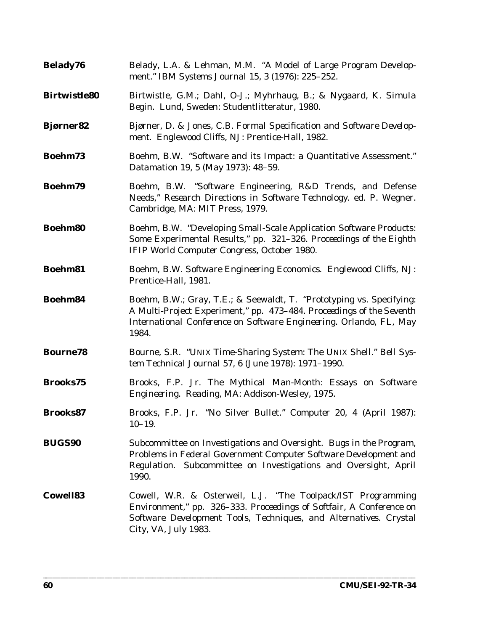| Belady76            | Belady, L.A. & Lehman, M.M. "A Model of Large Program Develop-<br>ment." IBM Systems Journal 15, 3 (1976): 225-252.                                                                                                              |
|---------------------|----------------------------------------------------------------------------------------------------------------------------------------------------------------------------------------------------------------------------------|
| <b>Birtwistle80</b> | Birtwistle, G.M.; Dahl, O-J.; Myhrhaug, B.; & Nygaard, K. Simula<br>Begin. Lund, Sweden: Studentlitteratur, 1980.                                                                                                                |
| <b>Bjørner82</b>    | Bjørner, D. & Jones, C.B. Formal Specification and Software Develop-<br>ment. Englewood Cliffs, NJ: Prentice-Hall, 1982.                                                                                                         |
| Boehm73             | Boehm, B.W. "Software and its Impact: a Quantitative Assessment."<br>Datamation 19, 5 (May 1973): 48-59.                                                                                                                         |
| Boehm79             | Boehm, B.W. "Software Engineering, R&D Trends, and Defense<br>Needs," Research Directions in Software Technology. ed. P. Wegner.<br>Cambridge, MA: MIT Press, 1979.                                                              |
| Boehm80             | Boehm, B.W. "Developing Small-Scale Application Software Products:<br>Some Experimental Results," pp. 321-326. Proceedings of the Eighth<br>IFIP World Computer Congress, October 1980.                                          |
| Boehm81             | Boehm, B.W. Software Engineering Economics. Englewood Cliffs, NJ:<br>Prentice-Hall, 1981.                                                                                                                                        |
| Boehm84             | Boehm, B.W.; Gray, T.E.; & Seewaldt, T. "Prototyping vs. Specifying:<br>A Multi-Project Experiment," pp. 473-484. Proceedings of the Seventh<br>International Conference on Software Engineering. Orlando, FL, May<br>1984.      |
| Bourne78            | Bourne, S.R. "UNIX Time-Sharing System: The UNIX Shell." Bell Sys-<br>tem Technical Journal 57, 6 (June 1978): 1971-1990.                                                                                                        |
| <b>Brooks75</b>     | Brooks, F.P. Jr. The Mythical Man-Month: Essays on Software<br>Engineering. Reading, MA: Addison-Wesley, 1975.                                                                                                                   |
| <b>Brooks87</b>     | Brooks, F.P. Jr. "No Silver Bullet." Computer 20, 4 (April 1987):<br>$10 - 19.$                                                                                                                                                  |
| <b>BUGS90</b>       | Subcommittee on Investigations and Oversight. Bugs in the Program,<br>Problems in Federal Government Computer Software Development and<br>Regulation. Subcommittee on Investigations and Oversight, April<br>1990.               |
| Cowell83            | Cowell, W.R. & Osterweil, L.J. "The Toolpack/IST Programming<br>Environment," pp. 326-333. Proceedings of Softfair, A Conference on<br>Software Development Tools, Techniques, and Alternatives. Crystal<br>City, VA, July 1983. |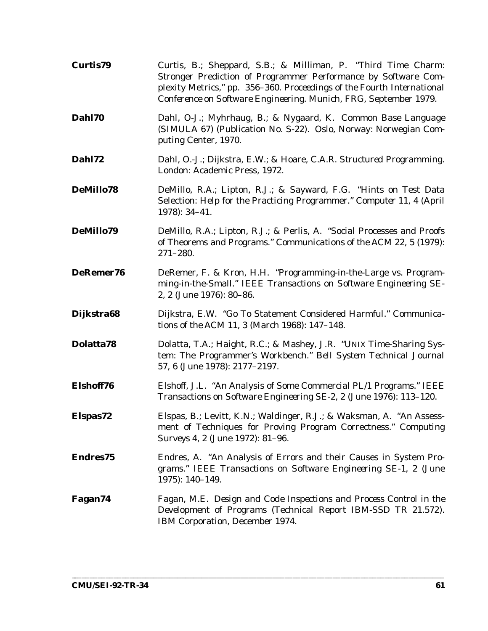| <b>Curtis79</b>      | Curtis, B.; Sheppard, S.B.; & Milliman, P. "Third Time Charm:<br>Stronger Prediction of Programmer Performance by Software Com-<br>plexity Metrics," pp. 356-360. Proceedings of the Fourth International<br>Conference on Software Engineering. Munich, FRG, September 1979. |
|----------------------|-------------------------------------------------------------------------------------------------------------------------------------------------------------------------------------------------------------------------------------------------------------------------------|
| Dahl70               | Dahl, O-J.; Myhrhaug, B.; & Nygaard, K. Common Base Language<br>(SIMULA 67) (Publication No. S-22). Oslo, Norway: Norwegian Com-<br>puting Center, 1970.                                                                                                                      |
| Dahl72               | Dahl, O.-J.; Dijkstra, E.W.; & Hoare, C.A.R. Structured Programming.<br>London: Academic Press, 1972.                                                                                                                                                                         |
| DeMillo78            | DeMillo, R.A.; Lipton, R.J.; & Sayward, F.G. "Hints on Test Data<br>Selection: Help for the Practicing Programmer." Computer 11, 4 (April<br>1978): 34-41.                                                                                                                    |
| DeMillo79            | DeMillo, R.A.; Lipton, R.J.; & Perlis, A. "Social Processes and Proofs<br>of Theorems and Programs." Communications of the ACM 22, 5 (1979):<br>$271 - 280.$                                                                                                                  |
| DeRemer76            | DeRemer, F. & Kron, H.H. "Programming-in-the-Large vs. Program-<br>ming-in-the-Small." IEEE Transactions on Software Engineering SE-<br>2, 2 (June 1976): 80–86.                                                                                                              |
| Dijkstra68           | Dijkstra, E.W. "Go To Statement Considered Harmful." Communica-<br>tions of the ACM 11, 3 (March 1968): 147-148.                                                                                                                                                              |
| Dolatta78            | Dolatta, T.A.; Haight, R.C.; & Mashey, J.R. "UNIX Time-Sharing Sys-<br>tem: The Programmer's Workbench." Bell System Technical Journal<br>57, 6 (June 1978): 2177-2197.                                                                                                       |
| Elshoff76            | Elshoff, J.L. "An Analysis of Some Commercial PL/1 Programs." IEEE<br>Transactions on Software Engineering SE-2, 2 (June 1976): 113-120.                                                                                                                                      |
| Elspas72             | Elspas, B.; Levitt, K.N.; Waldinger, R.J.; & Waksman, A. "An Assess-<br>ment of Techniques for Proving Program Correctness." Computing<br>Surveys 4, 2 (June 1972): 81–96.                                                                                                    |
| Endres <sub>75</sub> | Endres, A. "An Analysis of Errors and their Causes in System Pro-<br>grams." IEEE Transactions on Software Engineering SE-1, 2 (June<br>1975): 140-149.                                                                                                                       |
| Fagan74              | Fagan, M.E. Design and Code Inspections and Process Control in the<br>Development of Programs (Technical Report IBM-SSD TR 21.572).<br>IBM Corporation, December 1974.                                                                                                        |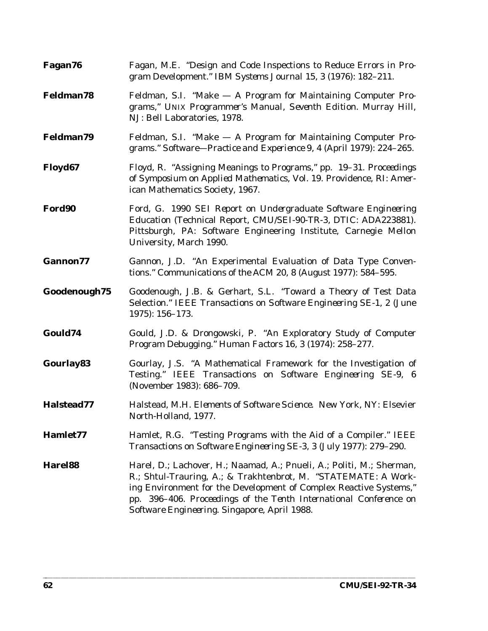| Fagan76             | Fagan, M.E. "Design and Code Inspections to Reduce Errors in Pro-<br>gram Development." IBM Systems Journal 15, 3 (1976): 182-211.                                                                                                                                                                                                |
|---------------------|-----------------------------------------------------------------------------------------------------------------------------------------------------------------------------------------------------------------------------------------------------------------------------------------------------------------------------------|
| <b>Feldman78</b>    | Feldman, S.I. "Make - A Program for Maintaining Computer Pro-<br>grams," UNIX Programmer's Manual, Seventh Edition. Murray Hill,<br>NJ: Bell Laboratories, 1978.                                                                                                                                                                  |
| <b>Feldman79</b>    | Feldman, S.I. "Make - A Program for Maintaining Computer Pro-<br>grams." Software-Practice and Experience 9, 4 (April 1979): 224-265.                                                                                                                                                                                             |
| Floyd67             | Floyd, R. "Assigning Meanings to Programs," pp. 19-31. Proceedings<br>of Symposium on Applied Mathematics, Vol. 19. Providence, RI: Amer-<br>ican Mathematics Society, 1967.                                                                                                                                                      |
| Ford90              | Ford, G. 1990 SEI Report on Undergraduate Software Engineering<br>Education (Technical Report, CMU/SEI-90-TR-3, DTIC: ADA223881).<br>Pittsburgh, PA: Software Engineering Institute, Carnegie Mellon<br>University, March 1990.                                                                                                   |
| Gannon77            | Gannon, J.D. "An Experimental Evaluation of Data Type Conven-<br>tions." Communications of the ACM 20, 8 (August 1977): 584-595.                                                                                                                                                                                                  |
| Goodenough75        | Goodenough, J.B. & Gerhart, S.L. "Toward a Theory of Test Data<br>Selection." IEEE Transactions on Software Engineering SE-1, 2 (June<br>1975): 156-173.                                                                                                                                                                          |
| Gould74             | Gould, J.D. & Drongowski, P. "An Exploratory Study of Computer<br>Program Debugging." Human Factors 16, 3 (1974): 258-277.                                                                                                                                                                                                        |
| Gourlay83           | Gourlay, J.S. "A Mathematical Framework for the Investigation of<br>Testing." IEEE Transactions on Software Engineering SE-9, 6<br>(November 1983): 686-709.                                                                                                                                                                      |
| Halstead77          | Halstead, M.H. Elements of Software Science. New York, NY: Elsevier<br>North-Holland, 1977.                                                                                                                                                                                                                                       |
| Hamlet77            | Hamlet, R.G. "Testing Programs with the Aid of a Compiler." IEEE<br>Transactions on Software Engineering SE-3, 3 (July 1977): 279-290.                                                                                                                                                                                            |
| Harel <sub>88</sub> | Harel, D.; Lachover, H.; Naamad, A.; Pnueli, A.; Politi, M.; Sherman,<br>R.; Shtul-Trauring, A.; & Trakhtenbrot, M. "STATEMATE: A Work-<br>ing Environment for the Development of Complex Reactive Systems,"<br>pp. 396-406. Proceedings of the Tenth International Conference on<br>Software Engineering. Singapore, April 1988. |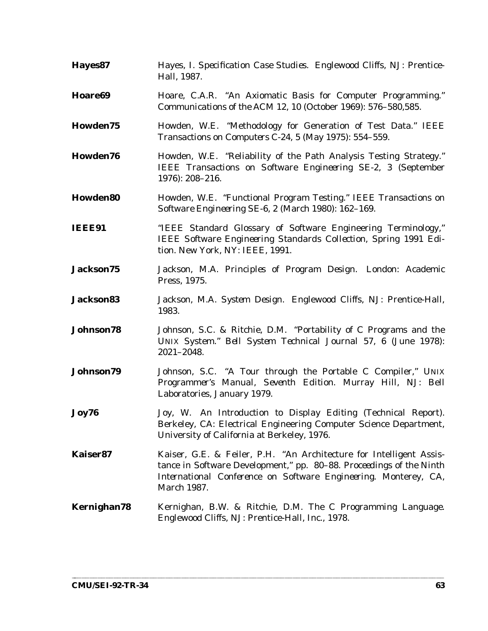| Hayes87             | Hayes, I. Specification Case Studies. Englewood Cliffs, NJ: Prentice-<br>Hall, 1987.                                                                                                                                                |
|---------------------|-------------------------------------------------------------------------------------------------------------------------------------------------------------------------------------------------------------------------------------|
| Hoare <sub>69</sub> | Hoare, C.A.R. "An Axiomatic Basis for Computer Programming."<br>Communications of the ACM 12, 10 (October 1969): 576-580,585.                                                                                                       |
| Howden75            | Howden, W.E. "Methodology for Generation of Test Data." IEEE<br>Transactions on Computers C-24, 5 (May 1975): 554-559.                                                                                                              |
| Howden76            | Howden, W.E. "Reliability of the Path Analysis Testing Strategy."<br>IEEE Transactions on Software Engineering SE-2, 3 (September<br>$1976$ : 208-216.                                                                              |
| Howden80            | Howden, W.E. "Functional Program Testing." IEEE Transactions on<br>Software Engineering SE-6, 2 (March 1980): 162-169.                                                                                                              |
| <b>IEEE91</b>       | "IEEE Standard Glossary of Software Engineering Terminology,"<br>IEEE Software Engineering Standards Collection, Spring 1991 Edi-<br>tion. New York, NY: IEEE, 1991.                                                                |
| Jackson75           | Jackson, M.A. Principles of Program Design. London: Academic<br>Press, 1975.                                                                                                                                                        |
| Jackson83           | Jackson, M.A. System Design. Englewood Cliffs, NJ: Prentice-Hall,<br>1983.                                                                                                                                                          |
| Johnson78           | Johnson, S.C. & Ritchie, D.M. "Portability of C Programs and the<br>UNIX System." Bell System Technical Journal 57, 6 (June 1978):<br>$2021 - 2048.$                                                                                |
| Johnson79           | Johnson, S.C. "A Tour through the Portable C Compiler," UNIX<br>Programmer's Manual, Seventh Edition. Murray Hill, NJ: Bell<br>Laboratories, January 1979.                                                                          |
| Joy76               | Joy, W. An Introduction to Display Editing (Technical Report).<br>Berkeley, CA: Electrical Engineering Computer Science Department,<br>University of California at Berkeley, 1976.                                                  |
| <b>Kaiser87</b>     | Kaiser, G.E. & Feiler, P.H. "An Architecture for Intelligent Assis-<br>tance in Software Development," pp. 80-88. Proceedings of the Ninth<br>International Conference on Software Engineering. Monterey, CA,<br><b>March 1987.</b> |
| Kernighan78         | Kernighan, B.W. & Ritchie, D.M. The C Programming Language.<br>Englewood Cliffs, NJ: Prentice-Hall, Inc., 1978.                                                                                                                     |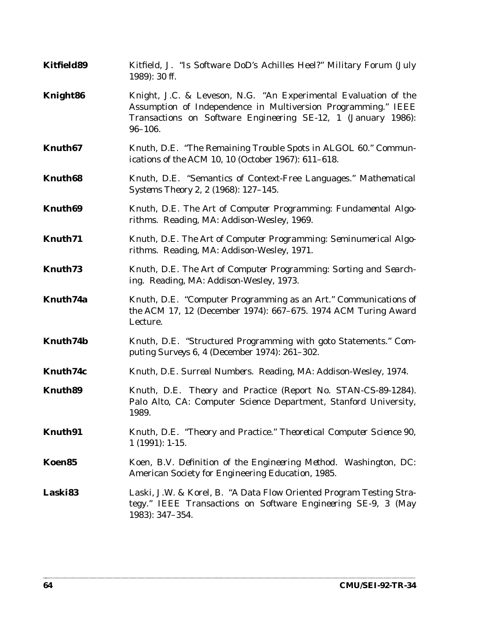| Kitfield89     | Kitfield, J. "Is Software DoD's Achilles Heel?" Military Forum (July<br>1989): 30 ff.                                                                                                                            |
|----------------|------------------------------------------------------------------------------------------------------------------------------------------------------------------------------------------------------------------|
| Knight86       | Knight, J.C. & Leveson, N.G. "An Experimental Evaluation of the<br>Assumption of Independence in Multiversion Programming." IEEE<br>Transactions on Software Engineering SE-12, 1 (January 1986):<br>$96 - 106.$ |
| Knuth67        | Knuth, D.E. "The Remaining Trouble Spots in ALGOL 60." Commun-<br>ications of the ACM 10, 10 (October 1967): 611-618.                                                                                            |
| Knuth68        | Knuth, D.E. "Semantics of Context-Free Languages." Mathematical<br>Systems Theory 2, 2 (1968): 127-145.                                                                                                          |
| Knuth69        | Knuth, D.E. The Art of Computer Programming: Fundamental Algo-<br>rithms. Reading, MA: Addison-Wesley, 1969.                                                                                                     |
| Knuth71        | Knuth, D.E. The Art of Computer Programming: Seminumerical Algo-<br>rithms. Reading, MA: Addison-Wesley, 1971.                                                                                                   |
| Knuth73        | Knuth, D.E. The Art of Computer Programming: Sorting and Search-<br>ing. Reading, MA: Addison-Wesley, 1973.                                                                                                      |
| Knuth74a       | Knuth, D.E. "Computer Programming as an Art." Communications of<br>the ACM 17, 12 (December 1974): 667-675. 1974 ACM Turing Award<br>Lecture.                                                                    |
| Knuth74b       | Knuth, D.E. "Structured Programming with goto Statements." Com-<br>puting Surveys 6, 4 (December 1974): 261-302.                                                                                                 |
| Knuth74c       | Knuth, D.E. Surreal Numbers. Reading, MA: Addison-Wesley, 1974.                                                                                                                                                  |
| <b>Knuth89</b> | Knuth, D.E. Theory and Practice (Report No. STAN-CS-89-1284).<br>Palo Alto, CA: Computer Science Department, Stanford University,<br>1989.                                                                       |
| Knuth91        | Knuth, D.E. "Theory and Practice." Theoretical Computer Science 90,<br>$1(1991): 1-15.$                                                                                                                          |
| Koen85         | Koen, B.V. Definition of the Engineering Method. Washington, DC:<br>American Society for Engineering Education, 1985.                                                                                            |
| Laski83        | Laski, J.W. & Korel, B. "A Data Flow Oriented Program Testing Stra-<br>tegy." IEEE Transactions on Software Engineering SE-9, 3 (May<br>1983): 347-354.                                                          |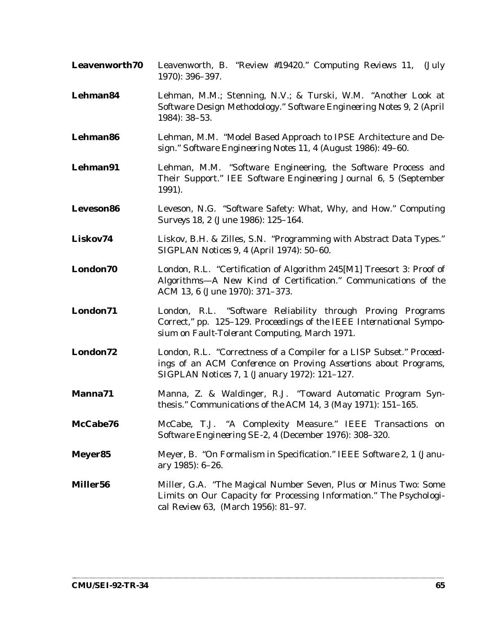| Leavenworth70        | Leavenworth, B. "Review #19420." Computing Reviews 11, (July<br>1970): 396-397.                                                                                                          |
|----------------------|------------------------------------------------------------------------------------------------------------------------------------------------------------------------------------------|
| Lehman <sub>84</sub> | Lehman, M.M.; Stenning, N.V.; & Turski, W.M. "Another Look at<br>Software Design Methodology." Software Engineering Notes 9, 2 (April<br>1984): 38-53.                                   |
| Lehman <sub>86</sub> | Lehman, M.M. "Model Based Approach to IPSE Architecture and De-<br>sign." Software Engineering Notes 11, 4 (August 1986): 49-60.                                                         |
| Lehman91             | Lehman, M.M. "Software Engineering, the Software Process and<br>Their Support." IEE Software Engineering Journal 6, 5 (September<br>1991).                                               |
| Leveson86            | Leveson, N.G. "Software Safety: What, Why, and How." Computing<br>Surveys 18, 2 (June 1986): 125-164.                                                                                    |
| Liskov74             | Liskov, B.H. & Zilles, S.N. "Programming with Abstract Data Types."<br>SIGPLAN Notices 9, 4 (April 1974): 50-60.                                                                         |
| London70             | London, R.L. "Certification of Algorithm 245[M1] Treesort 3: Proof of<br>Algorithms-A New Kind of Certification." Communications of the<br>ACM 13, 6 (June 1970): 371-373.               |
| London71             | London, R.L. "Software Reliability through Proving Programs<br>Correct," pp. 125-129. Proceedings of the IEEE International Sympo-<br>sium on Fault-Tolerant Computing, March 1971.      |
| London72             | London, R.L. "Correctness of a Compiler for a LISP Subset." Proceed-<br>ings of an ACM Conference on Proving Assertions about Programs,<br>SIGPLAN Notices 7, 1 (January 1972): 121-127. |
| Manna71              | Manna, Z. & Waldinger, R.J. "Toward Automatic Program Syn-<br>thesis." Communications of the ACM 14, 3 (May 1971): 151-165.                                                              |
| McCabe76             | McCabe, T.J. "A Complexity Measure." IEEE Transactions on<br>Software Engineering SE-2, 4 (December 1976): 308-320.                                                                      |
| Meyer85              | Meyer, B. "On Formalism in Specification." IEEE Software 2, 1 (Janu-<br>ary 1985): 6-26.                                                                                                 |
| Miller56             | Miller, G.A. "The Magical Number Seven, Plus or Minus Two: Some<br>Limits on Our Capacity for Processing Information." The Psychologi-<br>cal Review 63, (March 1956): 81-97.            |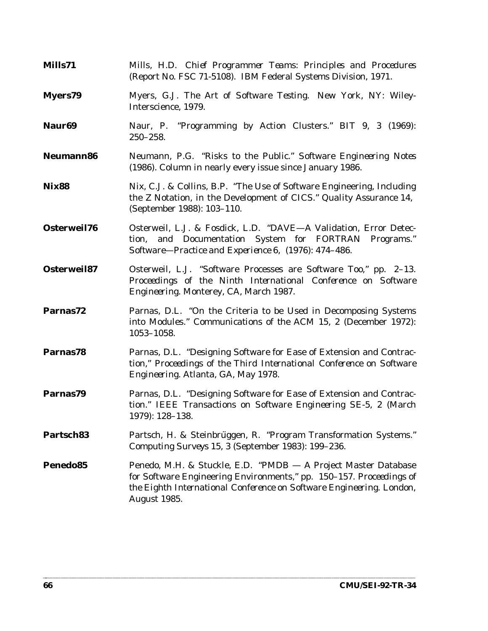| Mills71            | Mills, H.D. Chief Programmer Teams: Principles and Procedures<br>(Report No. FSC 71-5108). IBM Federal Systems Division, 1971.                                                                                                |
|--------------------|-------------------------------------------------------------------------------------------------------------------------------------------------------------------------------------------------------------------------------|
| Myers79            | Myers, G.J. The Art of Software Testing. New York, NY: Wiley-<br>Interscience, 1979.                                                                                                                                          |
| Naur <sub>69</sub> | Naur, P. "Programming by Action Clusters." BIT 9, 3 (1969):<br>$250 - 258.$                                                                                                                                                   |
| Neumann86          | Neumann, P.G. "Risks to the Public." Software Engineering Notes<br>(1986). Column in nearly every issue since January 1986.                                                                                                   |
| <b>Nix88</b>       | Nix, C.J. & Collins, B.P. "The Use of Software Engineering, Including<br>the Z Notation, in the Development of CICS." Quality Assurance 14,<br>(September 1988): 103-110.                                                     |
| Osterweil76        | Osterweil, L.J. & Fosdick, L.D. "DAVE-A Validation, Error Detec-<br>and Documentation System for FORTRAN Programs."<br>tion,<br>Software-Practice and Experience 6, (1976): 474-486.                                          |
| Osterweil87        | Osterweil, L.J. "Software Processes are Software Too," pp. 2-13.<br>Proceedings of the Ninth International Conference on Software<br>Engineering. Monterey, CA, March 1987.                                                   |
| Parnas72           | Parnas, D.L. "On the Criteria to be Used in Decomposing Systems<br>into Modules." Communications of the ACM 15, 2 (December 1972):<br>$1053 - 1058.$                                                                          |
| Parnas78           | Parnas, D.L. "Designing Software for Ease of Extension and Contrac-<br>tion," Proceedings of the Third International Conference on Software<br>Engineering. Atlanta, GA, May 1978.                                            |
| Parnas79           | Parnas, D.L. "Designing Software for Ease of Extension and Contrac-<br>tion." IEEE Transactions on Software Engineering SE-5, 2 (March<br>1979): 128-138.                                                                     |
| Partsch83          | Partsch, H. & Steinbrüggen, R. "Program Transformation Systems."<br>Computing Surveys 15, 3 (September 1983): 199-236.                                                                                                        |
| Penedo85           | Penedo, M.H. & Stuckle, E.D. "PMDB - A Project Master Database<br>for Software Engineering Environments," pp. 150-157. Proceedings of<br>the Eighth International Conference on Software Engineering. London,<br>August 1985. |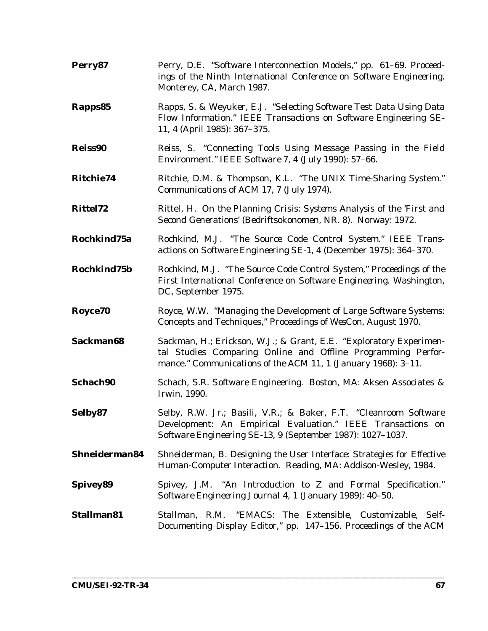| Perry87         | Perry, D.E. "Software Interconnection Models," pp. 61-69. Proceed-<br>ings of the Ninth International Conference on Software Engineering.<br>Monterey, CA, March 1987.                              |
|-----------------|-----------------------------------------------------------------------------------------------------------------------------------------------------------------------------------------------------|
| Rapps85         | Rapps, S. & Weyuker, E.J. "Selecting Software Test Data Using Data<br>Flow Information." IEEE Transactions on Software Engineering SE-<br>11, 4 (April 1985): 367-375.                              |
| Reiss90         | Reiss, S. "Connecting Tools Using Message Passing in the Field<br>Environment." IEEE Software 7, 4 (July 1990): 57-66.                                                                              |
| Ritchie74       | Ritchie, D.M. & Thompson, K.L. "The UNIX Time-Sharing System."<br>Communications of ACM 17, 7 (July 1974).                                                                                          |
| <b>Rittel72</b> | Rittel, H. On the Planning Crisis: Systems Analysis of the 'First and<br>Second Generations' (Bedriftsokonomen, NR. 8). Norway: 1972.                                                               |
| Rochkind75a     | Rochkind, M.J. "The Source Code Control System." IEEE Trans-<br>actions on Software Engineering SE-1, 4 (December 1975): 364-370.                                                                   |
| Rochkind75b     | Rochkind, M.J. "The Source Code Control System," Proceedings of the<br>First International Conference on Software Engineering. Washington,<br>DC, September 1975.                                   |
| Royce70         | Royce, W.W. "Managing the Development of Large Software Systems:<br>Concepts and Techniques," Proceedings of WesCon, August 1970.                                                                   |
| Sackman68       | Sackman, H.; Erickson, W.J.; & Grant, E.E. "Exploratory Experimen-<br>tal Studies Comparing Online and Offline Programming Perfor-<br>mance." Communications of the ACM 11, 1 (January 1968): 3-11. |
| Schach90        | Schach, S.R. Software Engineering. Boston, MA: Aksen Associates &<br>Irwin, 1990.                                                                                                                   |
| Selby87         | Selby, R.W. Jr.; Basili, V.R.; & Baker, F.T. "Cleanroom Software<br>Development: An Empirical Evaluation." IEEE Transactions on<br>Software Engineering SE-13, 9 (September 1987): 1027-1037.       |
| Shneiderman84   | Shneiderman, B. Designing the User Interface: Strategies for Effective<br>Human-Computer Interaction. Reading, MA: Addison-Wesley, 1984.                                                            |
| <b>Spivey89</b> | Spivey, J.M. "An Introduction to Z and Formal Specification."<br>Software Engineering Journal 4, 1 (January 1989): 40-50.                                                                           |
| Stallman81      | Stallman, R.M. "EMACS: The Extensible, Customizable, Self-<br>Documenting Display Editor," pp. 147-156. Proceedings of the ACM                                                                      |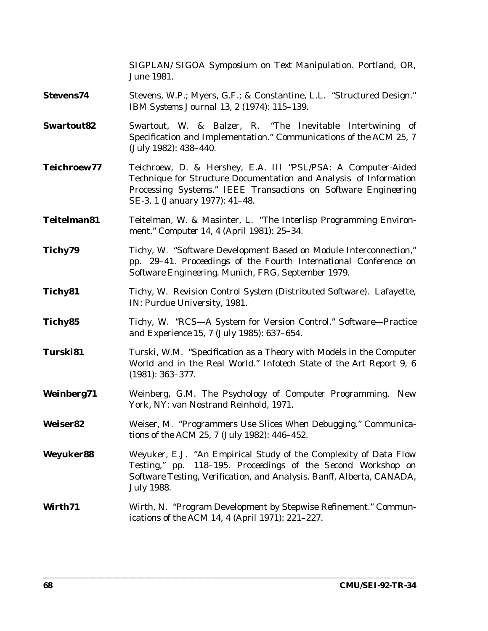*SIGPLAN/SIGOA Symposium on Text Manipulation*. Portland, OR, June 1981. **Stevens74** Stevens, W.P.; Myers, G.F.; & Constantine, L.L. "Structured Design." *IBM Systems Journal 13*, 2 (1974): 115–139. **Swartout82** Swartout, W. & Balzer, R. "The Inevitable Intertwining of Specification and Implementation." *Communications of the ACM 25*, 7 (July 1982): 438–440.

- **Teichroew77** Teichroew, D. & Hershey, E.A. III "PSL/PSA: A Computer-Aided Technique for Structure Documentation and Analysis of Information Processing Systems." *IEEE Transactions on Software Engineering SE-3*, 1 (January 1977): 41–48.
- **Teitelman81** Teitelman, W. & Masinter, L. "The Interlisp Programming Environment." *Computer 14*, 4 (April 1981): 25–34.
- **Tichy79** Tichy, W. "Software Development Based on Module Interconnection," pp. 29–41. *Proceedings of the Fourth International Conference on Software Engineering*. Munich, FRG, September 1979.
- **Tichy81** Tichy, W. *Revision Control System* (Distributed Software). Lafayette, IN: Purdue University, 1981.
- **Tichy85** Tichy, W. "RCS—A System for Version Control." *Software—Practice and Experience 15*, 7 (July 1985): 637–654.
- **Turski81** Turski, W.M. "Specification as a Theory with Models in the Computer World and in the Real World." *Infotech State of the Art Report 9*, 6 (1981): 363–377.
- **Weinberg71** Weinberg, G.M. *The Psychology of Computer Programming*. New York, NY: van Nostrand Reinhold, 1971.
- **Weiser82** Weiser, M. "Programmers Use Slices When Debugging." *Communications of the ACM 25*, 7 (July 1982): 446–452.

**Weyuker88** Weyuker, E.J. "An Empirical Study of the Complexity of Data Flow Testing," pp. 118–195. *Proceedings of the Second Workshop on Software Testing, Verification, and Analysis*. Banff, Alberta, CANADA, July 1988.

**Wirth71** Wirth, N. "Program Development by Stepwise Refinement." *Communications of the ACM 14*, 4 (April 1971): 221–227.